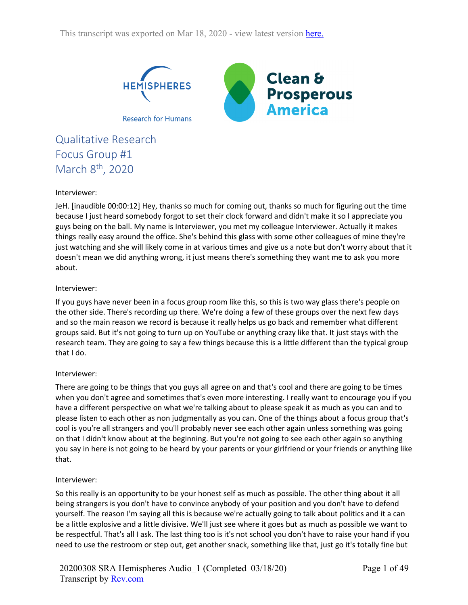

Qualitative Research Focus Group #1 March 8<sup>th</sup>, 2020

## Interviewer:

JeH. [inaudible 00:00:12] Hey, thanks so much for coming out, thanks so much for figuring out the time because I just heard somebody forgot to set their clock forward and didn't make it so I appreciate you guys being on the ball. My name is Interviewer, you met my colleague Interviewer. Actually it makes things really easy around the office. She's behind this glass with some other colleagues of mine they're just watching and she will likely come in at various times and give us a note but don't worry about that it doesn't mean we did anything wrong, it just means there's something they want me to ask you more about.

## Interviewer:

If you guys have never been in a focus group room like this, so this is two way glass there's people on the other side. There's recording up there. We're doing a few of these groups over the next few days and so the main reason we record is because it really helps us go back and remember what different groups said. But it's not going to turn up on YouTube or anything crazy like that. It just stays with the research team. They are going to say a few things because this is a little different than the typical group that I do.

# Interviewer:

There are going to be things that you guys all agree on and that's cool and there are going to be times when you don't agree and sometimes that's even more interesting. I really want to encourage you if you have a different perspective on what we're talking about to please speak it as much as you can and to please listen to each other as non judgmentally as you can. One of the things about a focus group that's cool is you're all strangers and you'll probably never see each other again unless something was going on that I didn't know about at the beginning. But you're not going to see each other again so anything you say in here is not going to be heard by your parents or your girlfriend or your friends or anything like that.

## Interviewer:

So this really is an opportunity to be your honest self as much as possible. The other thing about it all being strangers is you don't have to convince anybody of your position and you don't have to defend yourself. The reason I'm saying all this is because we're actually going to talk about politics and it a can be a little explosive and a little divisive. We'll just see where it goes but as much as possible we want to be respectful. That's all I ask. The last thing too is it's not school you don't have to raise your hand if you need to use the restroom or step out, get another snack, something like that, just go it's totally fine but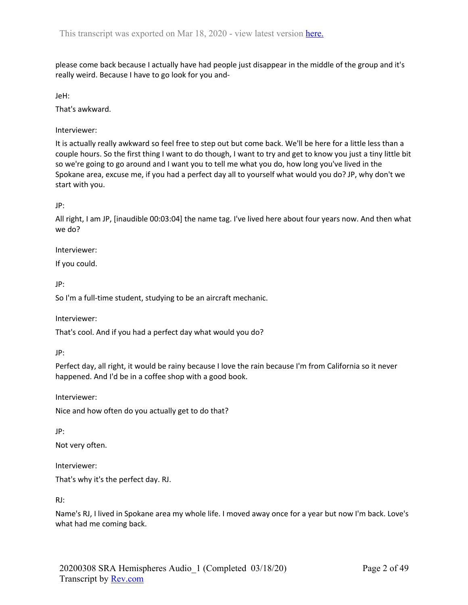please come back because I actually have had people just disappear in the middle of the group and it's really weird. Because I have to go look for you and-

JeH:

That's awkward.

Interviewer:

It is actually really awkward so feel free to step out but come back. We'll be here for a little less than a couple hours. So the first thing I want to do though, I want to try and get to know you just a tiny little bit so we're going to go around and I want you to tell me what you do, how long you've lived in the Spokane area, excuse me, if you had a perfect day all to yourself what would you do? JP, why don't we start with you.

JP:

All right, I am JP, [inaudible 00:03:04] the name tag. I've lived here about four years now. And then what we do?

Interviewer:

If you could.

JP:

So I'm a full-time student, studying to be an aircraft mechanic.

Interviewer:

That's cool. And if you had a perfect day what would you do?

JP:

Perfect day, all right, it would be rainy because I love the rain because I'm from California so it never happened. And I'd be in a coffee shop with a good book.

Interviewer:

Nice and how often do you actually get to do that?

JP:

Not very often.

Interviewer:

That's why it's the perfect day. RJ.

RJ:

Name's RJ, I lived in Spokane area my whole life. I moved away once for a year but now I'm back. Love's what had me coming back.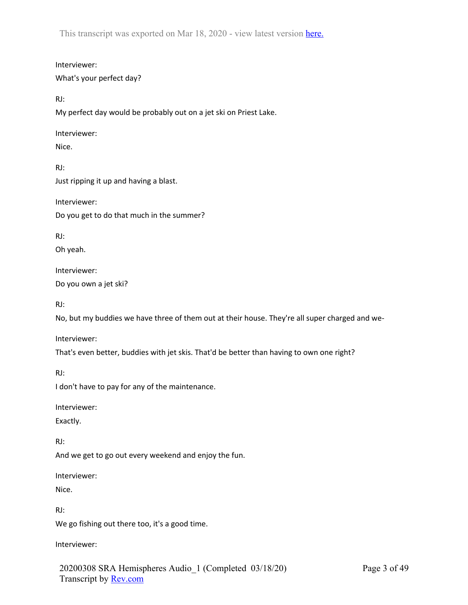Interviewer: What's your perfect day?

RJ:

My perfect day would be probably out on a jet ski on Priest Lake.

Interviewer:

Nice.

RJ: Just ripping it up and having a blast.

Interviewer: Do you get to do that much in the summer?

RJ:

Oh yeah.

Interviewer:

Do you own a jet ski?

RJ:

No, but my buddies we have three of them out at their house. They're all super charged and we-

Interviewer:

That's even better, buddies with jet skis. That'd be better than having to own one right?

RJ:

I don't have to pay for any of the maintenance.

Interviewer:

Exactly.

RJ:

And we get to go out every weekend and enjoy the fun.

Interviewer:

Nice.

RJ:

We go fishing out there too, it's a good time.

Interviewer:

20200308 SRA Hemispheres Audio\_1 (Completed 03/18/20) Transcript by Rev.com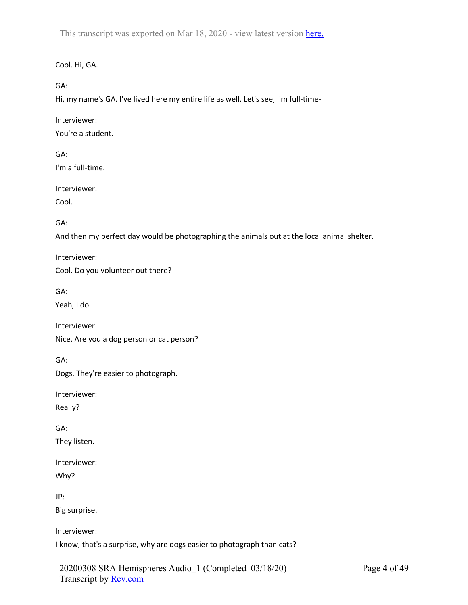Cool. Hi, GA.

GA:

Hi, my name's GA. I've lived here my entire life as well. Let's see, I'm full-time-

Interviewer:

You're a student.

GA: I'm a full-time.

Interviewer:

Cool.

GA:

And then my perfect day would be photographing the animals out at the local animal shelter.

Interviewer:

Cool. Do you volunteer out there?

GA:

Yeah, I do.

Interviewer:

Nice. Are you a dog person or cat person?

GA:

Dogs. They're easier to photograph.

Interviewer:

Really?

GA:

They listen.

Interviewer:

Why?

JP:

Big surprise.

Interviewer:

I know, that's a surprise, why are dogs easier to photograph than cats?

20200308 SRA Hemispheres Audio\_1 (Completed 03/18/20) Transcript by Rev.com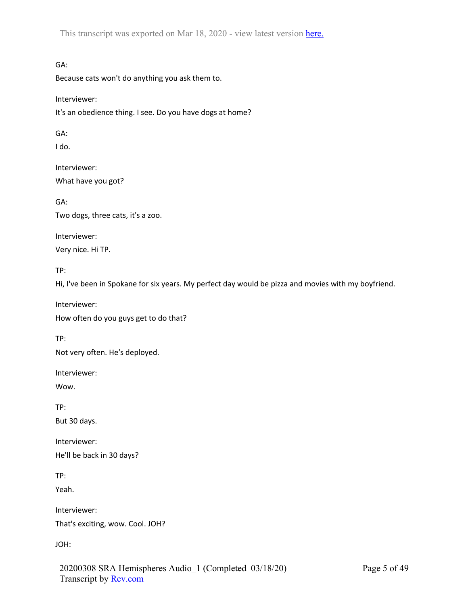GA:

Because cats won't do anything you ask them to.

Interviewer:

It's an obedience thing. I see. Do you have dogs at home?

GA:

I do.

Interviewer: What have you got?

GA: Two dogs, three cats, it's a zoo.

Interviewer: Very nice. Hi TP.

TP:

Hi, I've been in Spokane for six years. My perfect day would be pizza and movies with my boyfriend.

Interviewer:

How often do you guys get to do that?

TP:

Not very often. He's deployed.

Interviewer:

Wow.

TP: But 30 days.

Interviewer:

He'll be back in 30 days?

TP:

Yeah.

Interviewer:

That's exciting, wow. Cool. JOH?

JOH: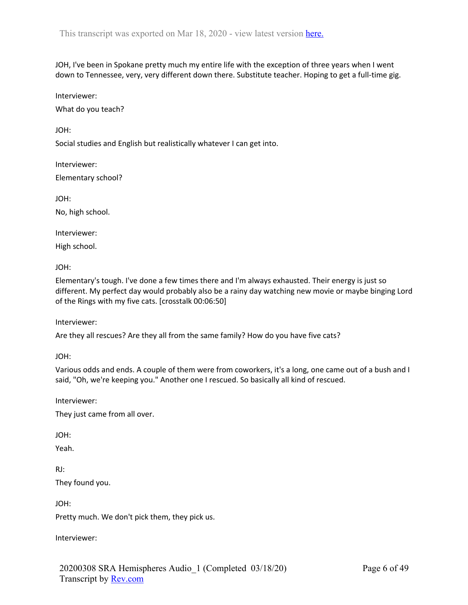JOH, I've been in Spokane pretty much my entire life with the exception of three years when I went down to Tennessee, very, very different down there. Substitute teacher. Hoping to get a full-time gig.

Interviewer:

What do you teach?

JOH:

Social studies and English but realistically whatever I can get into.

Interviewer: Elementary school?

JOH:

No, high school.

Interviewer: High school.

JOH:

Elementary's tough. I've done a few times there and I'm always exhausted. Their energy is just so different. My perfect day would probably also be a rainy day watching new movie or maybe binging Lord of the Rings with my five cats. [crosstalk 00:06:50]

Interviewer:

Are they all rescues? Are they all from the same family? How do you have five cats?

JOH:

Various odds and ends. A couple of them were from coworkers, it's a long, one came out of a bush and I said, "Oh, we're keeping you." Another one I rescued. So basically all kind of rescued.

Interviewer:

They just came from all over.

JOH:

Yeah.

RJ:

They found you.

JOH:

Pretty much. We don't pick them, they pick us.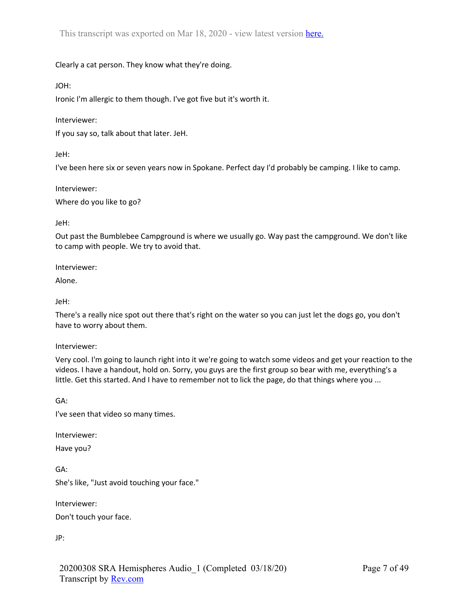# Clearly a cat person. They know what they're doing.

JOH:

Ironic I'm allergic to them though. I've got five but it's worth it.

Interviewer:

If you say so, talk about that later. JeH.

JeH:

I've been here six or seven years now in Spokane. Perfect day I'd probably be camping. I like to camp.

Interviewer:

Where do you like to go?

JeH:

Out past the Bumblebee Campground is where we usually go. Way past the campground. We don't like to camp with people. We try to avoid that.

Interviewer:

Alone.

JeH:

There's a really nice spot out there that's right on the water so you can just let the dogs go, you don't have to worry about them.

Interviewer:

Very cool. I'm going to launch right into it we're going to watch some videos and get your reaction to the videos. I have a handout, hold on. Sorry, you guys are the first group so bear with me, everything's a little. Get this started. And I have to remember not to lick the page, do that things where you ...

GA:

I've seen that video so many times.

Interviewer:

Have you?

GA: She's like, "Just avoid touching your face."

Interviewer:

Don't touch your face.

JP: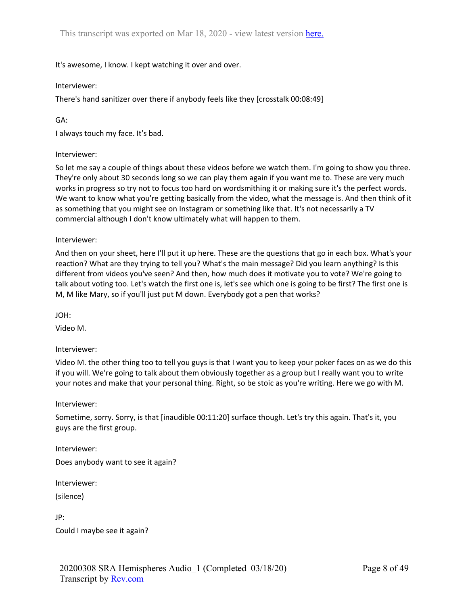It's awesome, I know. I kept watching it over and over.

## Interviewer:

There's hand sanitizer over there if anybody feels like they [crosstalk 00:08:49]

GA:

I always touch my face. It's bad.

## Interviewer:

So let me say a couple of things about these videos before we watch them. I'm going to show you three. They're only about 30 seconds long so we can play them again if you want me to. These are very much works in progress so try not to focus too hard on wordsmithing it or making sure it's the perfect words. We want to know what you're getting basically from the video, what the message is. And then think of it as something that you might see on Instagram or something like that. It's not necessarily a TV commercial although I don't know ultimately what will happen to them.

## Interviewer:

And then on your sheet, here I'll put it up here. These are the questions that go in each box. What's your reaction? What are they trying to tell you? What's the main message? Did you learn anything? Is this different from videos you've seen? And then, how much does it motivate you to vote? We're going to talk about voting too. Let's watch the first one is, let's see which one is going to be first? The first one is M, M like Mary, so if you'll just put M down. Everybody got a pen that works?

JOH:

Video M.

## Interviewer:

Video M. the other thing too to tell you guys is that I want you to keep your poker faces on as we do this if you will. We're going to talk about them obviously together as a group but I really want you to write your notes and make that your personal thing. Right, so be stoic as you're writing. Here we go with M.

## Interviewer:

Sometime, sorry. Sorry, is that [inaudible 00:11:20] surface though. Let's try this again. That's it, you guys are the first group.

Interviewer: Does anybody want to see it again?

Interviewer:

(silence)

JP:

Could I maybe see it again?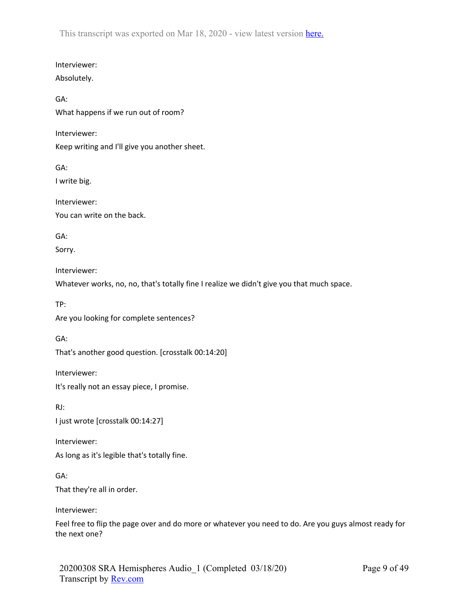Interviewer: Absolutely.

GA:

What happens if we run out of room?

Interviewer:

Keep writing and I'll give you another sheet.

GA: I write big.

Interviewer: You can write on the back.

GA:

Sorry.

Interviewer:

Whatever works, no, no, that's totally fine I realize we didn't give you that much space.

TP:

Are you looking for complete sentences?

GA:

That's another good question. [crosstalk 00:14:20]

Interviewer:

It's really not an essay piece, I promise.

RJ: I just wrote [crosstalk 00:14:27]

Interviewer: As long as it's legible that's totally fine.

GA: That they're all in order.

Interviewer:

Feel free to flip the page over and do more or whatever you need to do. Are you guys almost ready for the next one?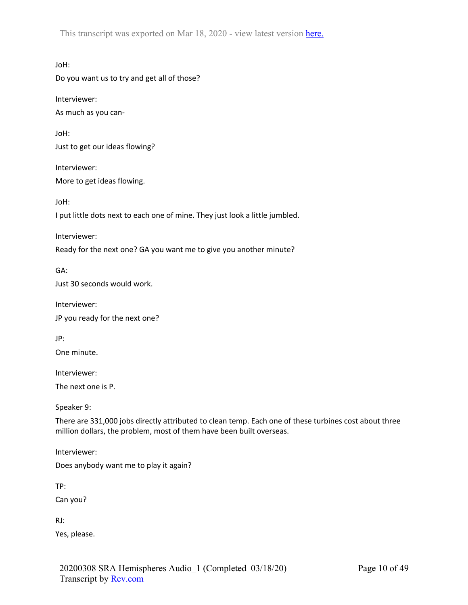JoH: Do you want us to try and get all of those?

Interviewer:

As much as you can-

JoH: Just to get our ideas flowing?

Interviewer:

More to get ideas flowing.

JoH:

I put little dots next to each one of mine. They just look a little jumbled.

Interviewer:

Ready for the next one? GA you want me to give you another minute?

GA: Just 30 seconds would work.

Interviewer: JP you ready for the next one?

JP:

One minute.

Interviewer:

The next one is P.

Speaker 9:

There are 331,000 jobs directly attributed to clean temp. Each one of these turbines cost about three million dollars, the problem, most of them have been built overseas.

Interviewer:

Does anybody want me to play it again?

TP:

Can you?

RJ:

Yes, please.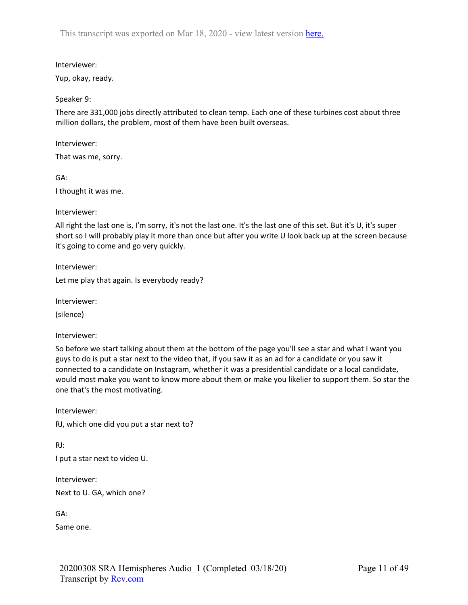Interviewer:

Yup, okay, ready.

Speaker 9:

There are 331,000 jobs directly attributed to clean temp. Each one of these turbines cost about three million dollars, the problem, most of them have been built overseas.

Interviewer:

That was me, sorry.

GA:

I thought it was me.

Interviewer:

All right the last one is, I'm sorry, it's not the last one. It's the last one of this set. But it's U, it's super short so I will probably play it more than once but after you write U look back up at the screen because it's going to come and go very quickly.

Interviewer:

Let me play that again. Is everybody ready?

Interviewer:

(silence)

Interviewer:

So before we start talking about them at the bottom of the page you'll see a star and what I want you guys to do is put a star next to the video that, if you saw it as an ad for a candidate or you saw it connected to a candidate on Instagram, whether it was a presidential candidate or a local candidate, would most make you want to know more about them or make you likelier to support them. So star the one that's the most motivating.

Interviewer: RJ, which one did you put a star next to?

RJ:

I put a star next to video U.

Interviewer:

Next to U. GA, which one?

GA:

Same one.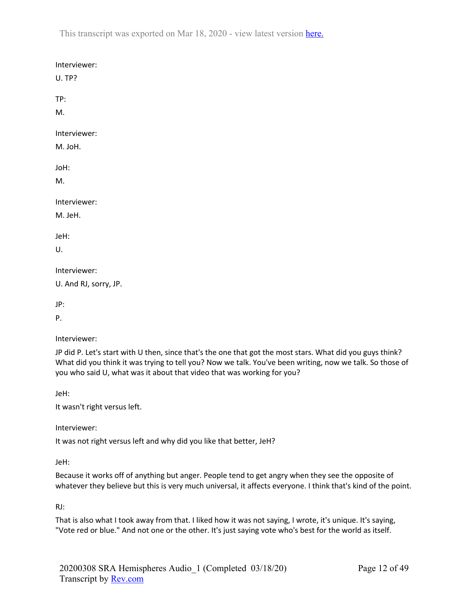| Interviewer:<br>U. TP? |
|------------------------|
| TP:                    |
| М.                     |
| Interviewer:           |
| M. JoH.                |
| JoH:                   |
| M.                     |
| Interviewer:           |
| M. JeH.                |
| JeH:                   |
| U.                     |
| Interviewer:           |
| U. And RJ, sorry, JP.  |
| JP:                    |
|                        |

P.

Interviewer:

JP did P. Let's start with U then, since that's the one that got the most stars. What did you guys think? What did you think it was trying to tell you? Now we talk. You've been writing, now we talk. So those of you who said U, what was it about that video that was working for you?

JeH:

It wasn't right versus left.

Interviewer:

It was not right versus left and why did you like that better, JeH?

JeH:

Because it works off of anything but anger. People tend to get angry when they see the opposite of whatever they believe but this is very much universal, it affects everyone. I think that's kind of the point.

RJ:

That is also what I took away from that. I liked how it was not saying, I wrote, it's unique. It's saying, "Vote red or blue." And not one or the other. It's just saying vote who's best for the world as itself.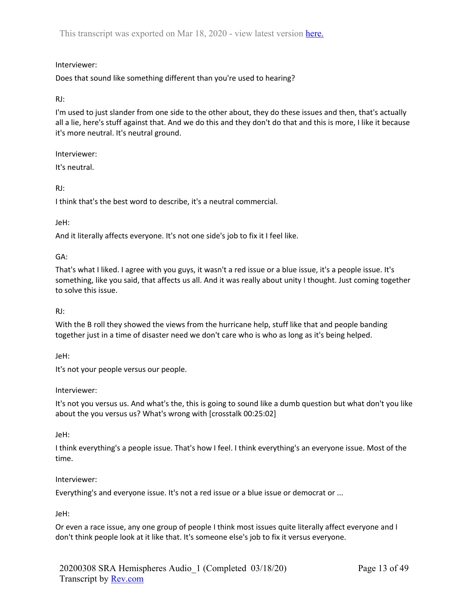# Interviewer:

Does that sound like something different than you're used to hearing?

## RJ:

I'm used to just slander from one side to the other about, they do these issues and then, that's actually all a lie, here's stuff against that. And we do this and they don't do that and this is more, I like it because it's more neutral. It's neutral ground.

Interviewer:

It's neutral.

## RJ:

I think that's the best word to describe, it's a neutral commercial.

## JeH:

And it literally affects everyone. It's not one side's job to fix it I feel like.

## GA:

That's what I liked. I agree with you guys, it wasn't a red issue or a blue issue, it's a people issue. It's something, like you said, that affects us all. And it was really about unity I thought. Just coming together to solve this issue.

## RJ:

With the B roll they showed the views from the hurricane help, stuff like that and people banding together just in a time of disaster need we don't care who is who as long as it's being helped.

## JeH:

It's not your people versus our people.

## Interviewer:

It's not you versus us. And what's the, this is going to sound like a dumb question but what don't you like about the you versus us? What's wrong with [crosstalk 00:25:02]

## JeH:

I think everything's a people issue. That's how I feel. I think everything's an everyone issue. Most of the time.

## Interviewer:

Everything's and everyone issue. It's not a red issue or a blue issue or democrat or ...

## JeH:

Or even a race issue, any one group of people I think most issues quite literally affect everyone and I don't think people look at it like that. It's someone else's job to fix it versus everyone.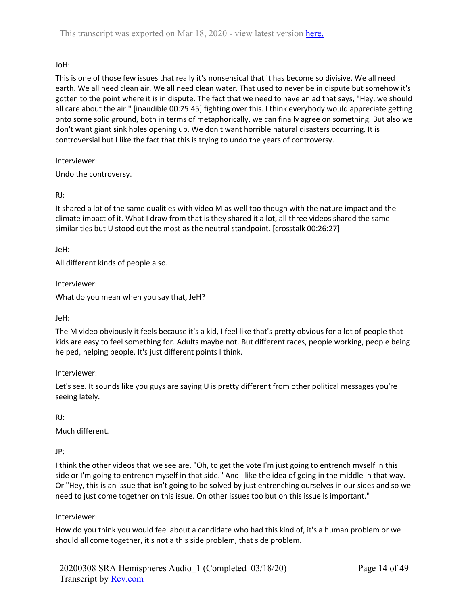# JoH:

This is one of those few issues that really it's nonsensical that it has become so divisive. We all need earth. We all need clean air. We all need clean water. That used to never be in dispute but somehow it's gotten to the point where it is in dispute. The fact that we need to have an ad that says, "Hey, we should all care about the air." [inaudible 00:25:45] fighting over this. I think everybody would appreciate getting onto some solid ground, both in terms of metaphorically, we can finally agree on something. But also we don't want giant sink holes opening up. We don't want horrible natural disasters occurring. It is controversial but I like the fact that this is trying to undo the years of controversy.

Interviewer:

Undo the controversy.

# RJ:

It shared a lot of the same qualities with video M as well too though with the nature impact and the climate impact of it. What I draw from that is they shared it a lot, all three videos shared the same similarities but U stood out the most as the neutral standpoint. [crosstalk 00:26:27]

JeH:

All different kinds of people also.

Interviewer:

What do you mean when you say that, JeH?

## JeH:

The M video obviously it feels because it's a kid, I feel like that's pretty obvious for a lot of people that kids are easy to feel something for. Adults maybe not. But different races, people working, people being helped, helping people. It's just different points I think.

Interviewer:

Let's see. It sounds like you guys are saying U is pretty different from other political messages you're seeing lately.

RJ:

Much different.

JP:

I think the other videos that we see are, "Oh, to get the vote I'm just going to entrench myself in this side or I'm going to entrench myself in that side." And I like the idea of going in the middle in that way. Or "Hey, this is an issue that isn't going to be solved by just entrenching ourselves in our sides and so we need to just come together on this issue. On other issues too but on this issue is important."

# Interviewer:

How do you think you would feel about a candidate who had this kind of, it's a human problem or we should all come together, it's not a this side problem, that side problem.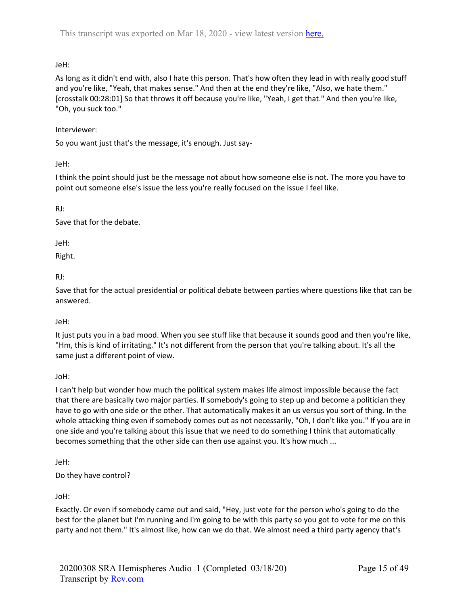JeH:

As long as it didn't end with, also I hate this person. That's how often they lead in with really good stuff and you're like, "Yeah, that makes sense." And then at the end they're like, "Also, we hate them." [crosstalk 00:28:01] So that throws it off because you're like, "Yeah, I get that." And then you're like, "Oh, you suck too."

# Interviewer:

So you want just that's the message, it's enough. Just say-

JeH:

I think the point should just be the message not about how someone else is not. The more you have to point out someone else's issue the less you're really focused on the issue I feel like.

RJ:

Save that for the debate.

JeH:

Right.

RJ:

Save that for the actual presidential or political debate between parties where questions like that can be answered.

# JeH:

It just puts you in a bad mood. When you see stuff like that because it sounds good and then you're like, "Hm, this is kind of irritating." It's not different from the person that you're talking about. It's all the same just a different point of view.

JoH:

I can't help but wonder how much the political system makes life almost impossible because the fact that there are basically two major parties. If somebody's going to step up and become a politician they have to go with one side or the other. That automatically makes it an us versus you sort of thing. In the whole attacking thing even if somebody comes out as not necessarily, "Oh, I don't like you." If you are in one side and you're talking about this issue that we need to do something I think that automatically becomes something that the other side can then use against you. It's how much ...

JeH:

Do they have control?

JoH:

Exactly. Or even if somebody came out and said, "Hey, just vote for the person who's going to do the best for the planet but I'm running and I'm going to be with this party so you got to vote for me on this party and not them." It's almost like, how can we do that. We almost need a third party agency that's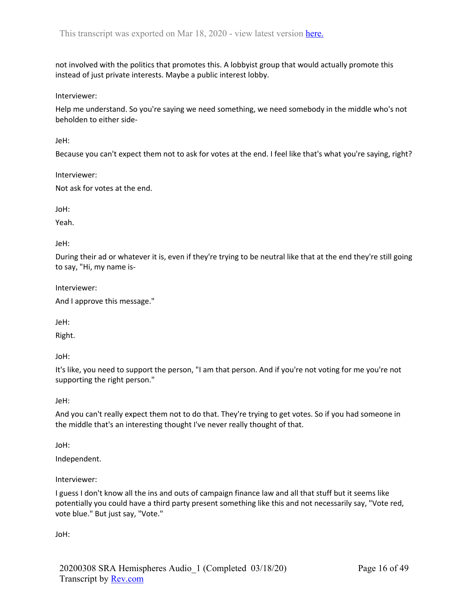not involved with the politics that promotes this. A lobbyist group that would actually promote this instead of just private interests. Maybe a public interest lobby.

Interviewer:

Help me understand. So you're saying we need something, we need somebody in the middle who's not beholden to either side-

JeH:

Because you can't expect them not to ask for votes at the end. I feel like that's what you're saying, right?

Interviewer:

Not ask for votes at the end.

JoH:

Yeah.

JeH:

During their ad or whatever it is, even if they're trying to be neutral like that at the end they're still going to say, "Hi, my name is-

Interviewer:

```
And I approve this message."
```
JeH:

Right.

JoH:

It's like, you need to support the person, "I am that person. And if you're not voting for me you're not supporting the right person."

JeH:

And you can't really expect them not to do that. They're trying to get votes. So if you had someone in the middle that's an interesting thought I've never really thought of that.

JoH:

Independent.

Interviewer:

I guess I don't know all the ins and outs of campaign finance law and all that stuff but it seems like potentially you could have a third party present something like this and not necessarily say, "Vote red, vote blue." But just say, "Vote."

JoH: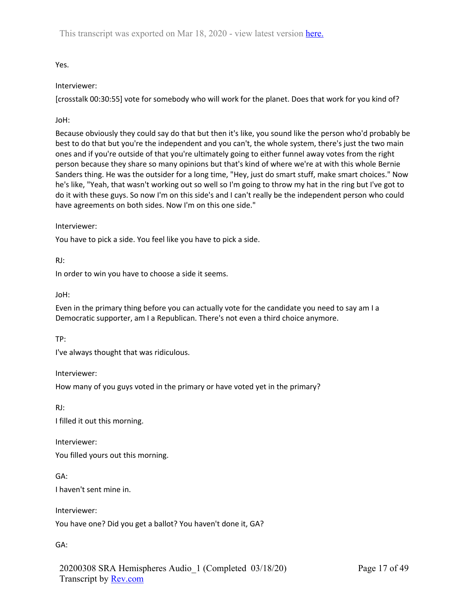Yes.

# Interviewer:

[crosstalk 00:30:55] vote for somebody who will work for the planet. Does that work for you kind of?

JoH:

Because obviously they could say do that but then it's like, you sound like the person who'd probably be best to do that but you're the independent and you can't, the whole system, there's just the two main ones and if you're outside of that you're ultimately going to either funnel away votes from the right person because they share so many opinions but that's kind of where we're at with this whole Bernie Sanders thing. He was the outsider for a long time, "Hey, just do smart stuff, make smart choices." Now he's like, "Yeah, that wasn't working out so well so I'm going to throw my hat in the ring but I've got to do it with these guys. So now I'm on this side's and I can't really be the independent person who could have agreements on both sides. Now I'm on this one side."

# Interviewer:

You have to pick a side. You feel like you have to pick a side.

RJ:

In order to win you have to choose a side it seems.

JoH:

Even in the primary thing before you can actually vote for the candidate you need to say am I a Democratic supporter, am I a Republican. There's not even a third choice anymore.

TP:

I've always thought that was ridiculous.

Interviewer:

How many of you guys voted in the primary or have voted yet in the primary?

RJ:

I filled it out this morning.

Interviewer: You filled yours out this morning.

GA: I haven't sent mine in.

Interviewer:

You have one? Did you get a ballot? You haven't done it, GA?

GA:

20200308 SRA Hemispheres Audio\_1 (Completed 03/18/20) Transcript by Rev.com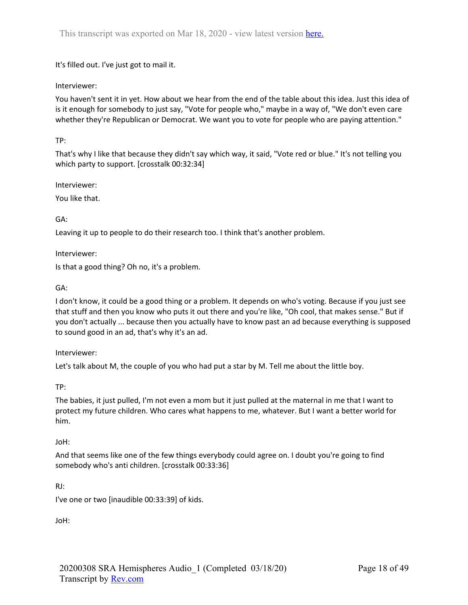It's filled out. I've just got to mail it.

# Interviewer:

You haven't sent it in yet. How about we hear from the end of the table about this idea. Just this idea of is it enough for somebody to just say, "Vote for people who," maybe in a way of, "We don't even care whether they're Republican or Democrat. We want you to vote for people who are paying attention."

# TP:

That's why I like that because they didn't say which way, it said, "Vote red or blue." It's not telling you which party to support. [crosstalk 00:32:34]

Interviewer:

You like that.

GA:

Leaving it up to people to do their research too. I think that's another problem.

Interviewer:

Is that a good thing? Oh no, it's a problem.

GA:

I don't know, it could be a good thing or a problem. It depends on who's voting. Because if you just see that stuff and then you know who puts it out there and you're like, "Oh cool, that makes sense." But if you don't actually ... because then you actually have to know past an ad because everything is supposed to sound good in an ad, that's why it's an ad.

Interviewer:

Let's talk about M, the couple of you who had put a star by M. Tell me about the little boy.

TP:

The babies, it just pulled, I'm not even a mom but it just pulled at the maternal in me that I want to protect my future children. Who cares what happens to me, whatever. But I want a better world for him.

## JoH:

And that seems like one of the few things everybody could agree on. I doubt you're going to find somebody who's anti children. [crosstalk 00:33:36]

RJ:

I've one or two [inaudible 00:33:39] of kids.

JoH: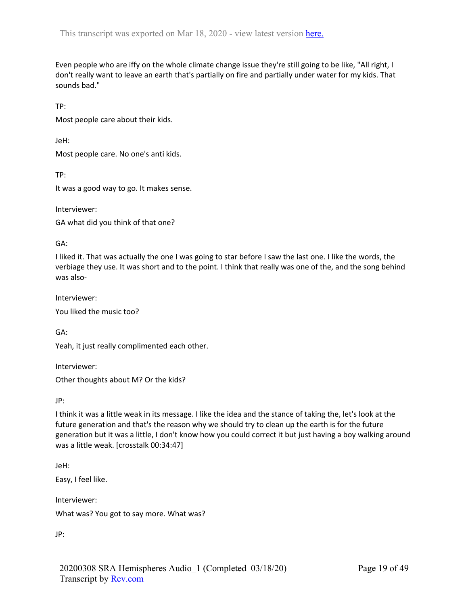Even people who are iffy on the whole climate change issue they're still going to be like, "All right, I don't really want to leave an earth that's partially on fire and partially under water for my kids. That sounds bad."

TP:

Most people care about their kids.

JeH:

Most people care. No one's anti kids.

TP:

It was a good way to go. It makes sense.

Interviewer:

GA what did you think of that one?

GA:

I liked it. That was actually the one I was going to star before I saw the last one. I like the words, the verbiage they use. It was short and to the point. I think that really was one of the, and the song behind was also-

Interviewer: You liked the music too?

GA:

Yeah, it just really complimented each other.

Interviewer: Other thoughts about M? Or the kids?

JP:

I think it was a little weak in its message. I like the idea and the stance of taking the, let's look at the future generation and that's the reason why we should try to clean up the earth is for the future generation but it was a little, I don't know how you could correct it but just having a boy walking around was a little weak. [crosstalk 00:34:47]

JeH:

Easy, I feel like.

Interviewer: What was? You got to say more. What was?

JP: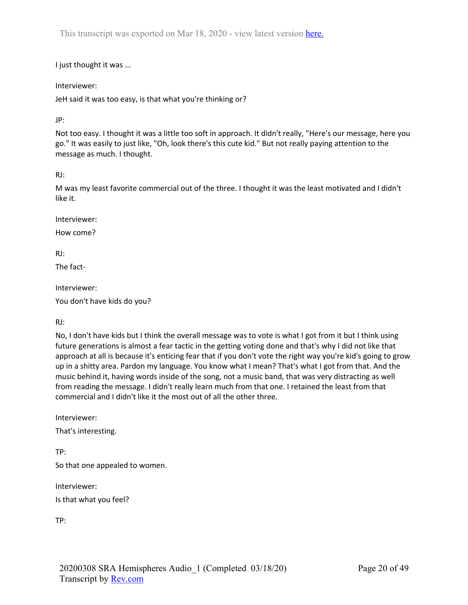I just thought it was ...

Interviewer:

JeH said it was too easy, is that what you're thinking or?

JP:

Not too easy. I thought it was a little too soft in approach. It didn't really, "Here's our message, here you go." It was easily to just like, "Oh, look there's this cute kid." But not really paying attention to the message as much. I thought.

RJ:

M was my least favorite commercial out of the three. I thought it was the least motivated and I didn't like it.

Interviewer:

How come?

RJ:

The fact-

Interviewer:

You don't have kids do you?

RJ:

No, I don't have kids but I think the overall message was to vote is what I got from it but I think using future generations is almost a fear tactic in the getting voting done and that's why I did not like that approach at all is because it's enticing fear that if you don't vote the right way you're kid's going to grow up in a shitty area. Pardon my language. You know what I mean? That's what I got from that. And the music behind it, having words inside of the song, not a music band, that was very distracting as well from reading the message. I didn't really learn much from that one. I retained the least from that commercial and I didn't like it the most out of all the other three.

Interviewer:

That's interesting.

TP: So that one appealed to women.

Interviewer:

Is that what you feel?

TP: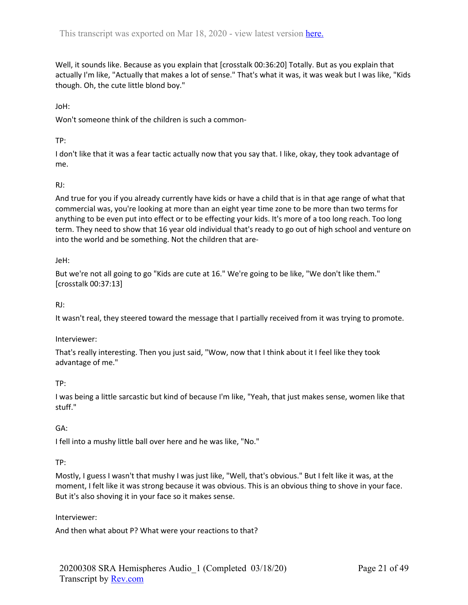Well, it sounds like. Because as you explain that [crosstalk 00:36:20] Totally. But as you explain that actually I'm like, "Actually that makes a lot of sense." That's what it was, it was weak but I was like, "Kids though. Oh, the cute little blond boy."

JoH:

Won't someone think of the children is such a common-

# TP:

I don't like that it was a fear tactic actually now that you say that. I like, okay, they took advantage of me.

# RJ:

And true for you if you already currently have kids or have a child that is in that age range of what that commercial was, you're looking at more than an eight year time zone to be more than two terms for anything to be even put into effect or to be effecting your kids. It's more of a too long reach. Too long term. They need to show that 16 year old individual that's ready to go out of high school and venture on into the world and be something. Not the children that are-

# JeH:

But we're not all going to go "Kids are cute at 16." We're going to be like, "We don't like them." [crosstalk 00:37:13]

RJ:

It wasn't real, they steered toward the message that I partially received from it was trying to promote.

# Interviewer:

That's really interesting. Then you just said, "Wow, now that I think about it I feel like they took advantage of me."

# TP:

I was being a little sarcastic but kind of because I'm like, "Yeah, that just makes sense, women like that stuff."

# GA:

I fell into a mushy little ball over here and he was like, "No."

# TP:

Mostly, I guess I wasn't that mushy I was just like, "Well, that's obvious." But I felt like it was, at the moment, I felt like it was strong because it was obvious. This is an obvious thing to shove in your face. But it's also shoving it in your face so it makes sense.

# Interviewer:

And then what about P? What were your reactions to that?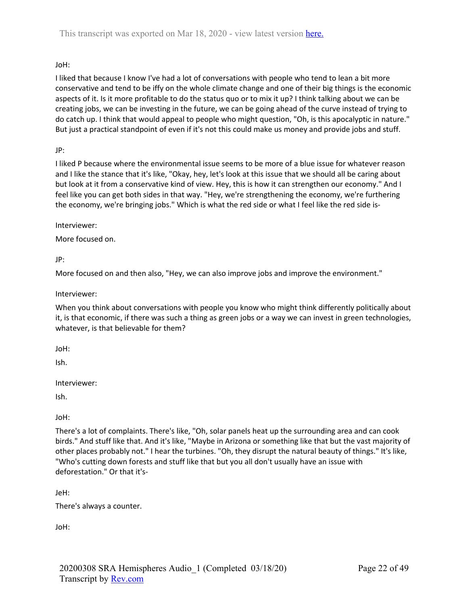# JoH:

I liked that because I know I've had a lot of conversations with people who tend to lean a bit more conservative and tend to be iffy on the whole climate change and one of their big things is the economic aspects of it. Is it more profitable to do the status quo or to mix it up? I think talking about we can be creating jobs, we can be investing in the future, we can be going ahead of the curve instead of trying to do catch up. I think that would appeal to people who might question, "Oh, is this apocalyptic in nature." But just a practical standpoint of even if it's not this could make us money and provide jobs and stuff.

# JP:

I liked P because where the environmental issue seems to be more of a blue issue for whatever reason and I like the stance that it's like, "Okay, hey, let's look at this issue that we should all be caring about but look at it from a conservative kind of view. Hey, this is how it can strengthen our economy." And I feel like you can get both sides in that way. "Hey, we're strengthening the economy, we're furthering the economy, we're bringing jobs." Which is what the red side or what I feel like the red side is-

Interviewer:

More focused on.

JP:

More focused on and then also, "Hey, we can also improve jobs and improve the environment."

Interviewer:

When you think about conversations with people you know who might think differently politically about it, is that economic, if there was such a thing as green jobs or a way we can invest in green technologies, whatever, is that believable for them?

JoH:

Ish.

Interviewer:

Ish.

JoH:

There's a lot of complaints. There's like, "Oh, solar panels heat up the surrounding area and can cook birds." And stuff like that. And it's like, "Maybe in Arizona or something like that but the vast majority of other places probably not." I hear the turbines. "Oh, they disrupt the natural beauty of things." It's like, "Who's cutting down forests and stuff like that but you all don't usually have an issue with deforestation." Or that it's-

JeH:

There's always a counter.

JoH: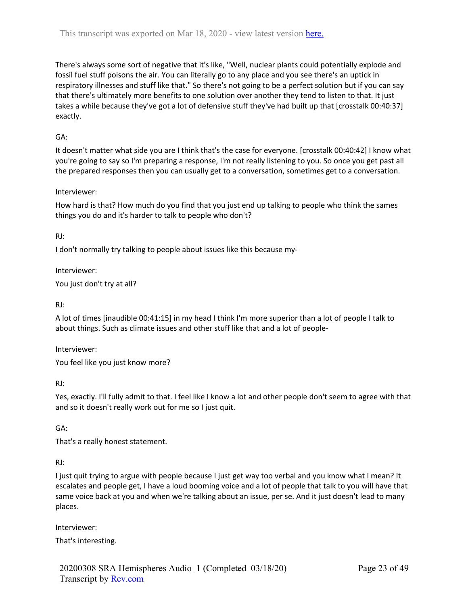There's always some sort of negative that it's like, "Well, nuclear plants could potentially explode and fossil fuel stuff poisons the air. You can literally go to any place and you see there's an uptick in respiratory illnesses and stuff like that." So there's not going to be a perfect solution but if you can say that there's ultimately more benefits to one solution over another they tend to listen to that. It just takes a while because they've got a lot of defensive stuff they've had built up that [crosstalk 00:40:37] exactly.

# GA:

It doesn't matter what side you are I think that's the case for everyone. [crosstalk 00:40:42] I know what you're going to say so I'm preparing a response, I'm not really listening to you. So once you get past all the prepared responses then you can usually get to a conversation, sometimes get to a conversation.

## Interviewer:

How hard is that? How much do you find that you just end up talking to people who think the sames things you do and it's harder to talk to people who don't?

RJ:

I don't normally try talking to people about issues like this because my-

Interviewer:

You just don't try at all?

RJ:

A lot of times [inaudible 00:41:15] in my head I think I'm more superior than a lot of people I talk to about things. Such as climate issues and other stuff like that and a lot of people-

Interviewer:

You feel like you just know more?

RJ:

Yes, exactly. I'll fully admit to that. I feel like I know a lot and other people don't seem to agree with that and so it doesn't really work out for me so I just quit.

GA:

That's a really honest statement.

RJ:

I just quit trying to argue with people because I just get way too verbal and you know what I mean? It escalates and people get, I have a loud booming voice and a lot of people that talk to you will have that same voice back at you and when we're talking about an issue, per se. And it just doesn't lead to many places.

Interviewer:

That's interesting.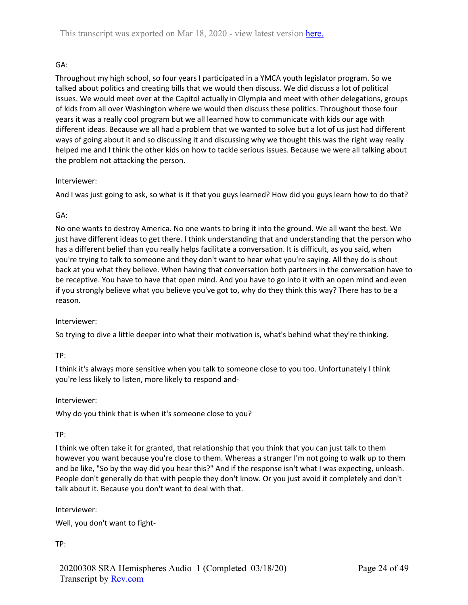# GA:

Throughout my high school, so four years I participated in a YMCA youth legislator program. So we talked about politics and creating bills that we would then discuss. We did discuss a lot of political issues. We would meet over at the Capitol actually in Olympia and meet with other delegations, groups of kids from all over Washington where we would then discuss these politics. Throughout those four years it was a really cool program but we all learned how to communicate with kids our age with different ideas. Because we all had a problem that we wanted to solve but a lot of us just had different ways of going about it and so discussing it and discussing why we thought this was the right way really helped me and I think the other kids on how to tackle serious issues. Because we were all talking about the problem not attacking the person.

## Interviewer:

And I was just going to ask, so what is it that you guys learned? How did you guys learn how to do that?

## GA:

No one wants to destroy America. No one wants to bring it into the ground. We all want the best. We just have different ideas to get there. I think understanding that and understanding that the person who has a different belief than you really helps facilitate a conversation. It is difficult, as you said, when you're trying to talk to someone and they don't want to hear what you're saying. All they do is shout back at you what they believe. When having that conversation both partners in the conversation have to be receptive. You have to have that open mind. And you have to go into it with an open mind and even if you strongly believe what you believe you've got to, why do they think this way? There has to be a reason.

## Interviewer:

So trying to dive a little deeper into what their motivation is, what's behind what they're thinking.

TP:

I think it's always more sensitive when you talk to someone close to you too. Unfortunately I think you're less likely to listen, more likely to respond and-

#### Interviewer:

Why do you think that is when it's someone close to you?

TP:

I think we often take it for granted, that relationship that you think that you can just talk to them however you want because you're close to them. Whereas a stranger I'm not going to walk up to them and be like, "So by the way did you hear this?" And if the response isn't what I was expecting, unleash. People don't generally do that with people they don't know. Or you just avoid it completely and don't talk about it. Because you don't want to deal with that.

## Interviewer:

Well, you don't want to fight-

TP: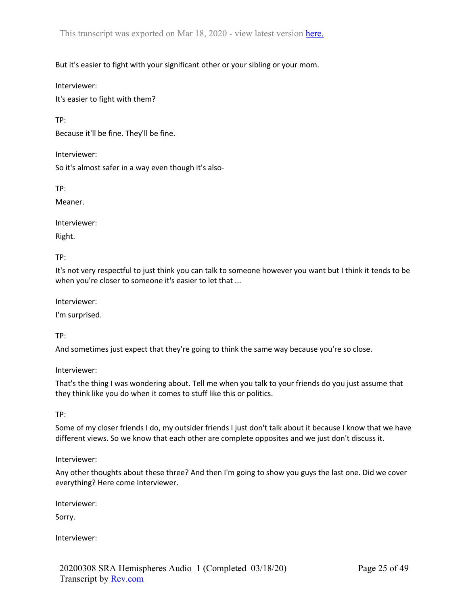But it's easier to fight with your significant other or your sibling or your mom.

Interviewer:

It's easier to fight with them?

TP:

Because it'll be fine. They'll be fine.

Interviewer:

So it's almost safer in a way even though it's also-

TP:

Meaner.

Interviewer:

Right.

TP:

It's not very respectful to just think you can talk to someone however you want but I think it tends to be when you're closer to someone it's easier to let that ...

Interviewer:

I'm surprised.

TP:

And sometimes just expect that they're going to think the same way because you're so close.

Interviewer:

That's the thing I was wondering about. Tell me when you talk to your friends do you just assume that they think like you do when it comes to stuff like this or politics.

TP:

Some of my closer friends I do, my outsider friends I just don't talk about it because I know that we have different views. So we know that each other are complete opposites and we just don't discuss it.

## Interviewer:

Any other thoughts about these three? And then I'm going to show you guys the last one. Did we cover everything? Here come Interviewer.

Interviewer:

Sorry.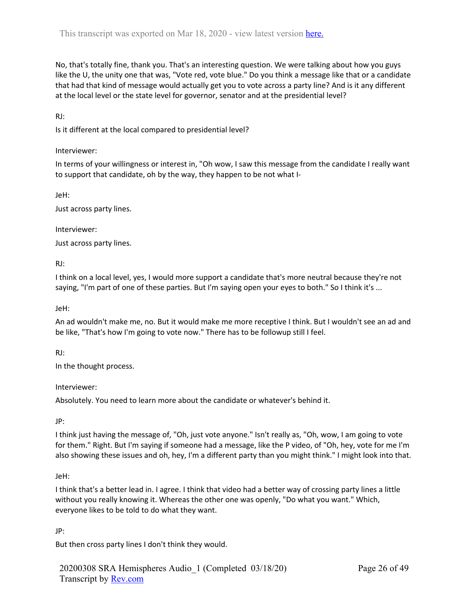No, that's totally fine, thank you. That's an interesting question. We were talking about how you guys like the U, the unity one that was, "Vote red, vote blue." Do you think a message like that or a candidate that had that kind of message would actually get you to vote across a party line? And is it any different at the local level or the state level for governor, senator and at the presidential level?

RJ:

Is it different at the local compared to presidential level?

## Interviewer:

In terms of your willingness or interest in, "Oh wow, I saw this message from the candidate I really want to support that candidate, oh by the way, they happen to be not what I-

JeH:

Just across party lines.

Interviewer:

Just across party lines.

RJ:

I think on a local level, yes, I would more support a candidate that's more neutral because they're not saying, "I'm part of one of these parties. But I'm saying open your eyes to both." So I think it's ...

JeH:

An ad wouldn't make me, no. But it would make me more receptive I think. But I wouldn't see an ad and be like, "That's how I'm going to vote now." There has to be followup still I feel.

RJ:

In the thought process.

Interviewer:

Absolutely. You need to learn more about the candidate or whatever's behind it.

JP:

I think just having the message of, "Oh, just vote anyone." Isn't really as, "Oh, wow, I am going to vote for them." Right. But I'm saying if someone had a message, like the P video, of "Oh, hey, vote for me I'm also showing these issues and oh, hey, I'm a different party than you might think." I might look into that.

JeH:

I think that's a better lead in. I agree. I think that video had a better way of crossing party lines a little without you really knowing it. Whereas the other one was openly, "Do what you want." Which, everyone likes to be told to do what they want.

JP:

But then cross party lines I don't think they would.

20200308 SRA Hemispheres Audio\_1 (Completed 03/18/20) Transcript by Rev.com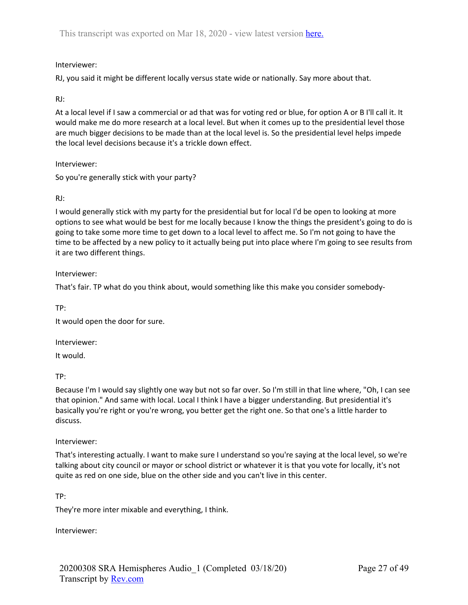# Interviewer:

RJ, you said it might be different locally versus state wide or nationally. Say more about that.

## RJ:

At a local level if I saw a commercial or ad that was for voting red or blue, for option A or B I'll call it. It would make me do more research at a local level. But when it comes up to the presidential level those are much bigger decisions to be made than at the local level is. So the presidential level helps impede the local level decisions because it's a trickle down effect.

Interviewer:

So you're generally stick with your party?

## RJ:

I would generally stick with my party for the presidential but for local I'd be open to looking at more options to see what would be best for me locally because I know the things the president's going to do is going to take some more time to get down to a local level to affect me. So I'm not going to have the time to be affected by a new policy to it actually being put into place where I'm going to see results from it are two different things.

## Interviewer:

That's fair. TP what do you think about, would something like this make you consider somebody-

TP:

It would open the door for sure.

Interviewer:

It would.

TP:

Because I'm I would say slightly one way but not so far over. So I'm still in that line where, "Oh, I can see that opinion." And same with local. Local I think I have a bigger understanding. But presidential it's basically you're right or you're wrong, you better get the right one. So that one's a little harder to discuss.

## Interviewer:

That's interesting actually. I want to make sure I understand so you're saying at the local level, so we're talking about city council or mayor or school district or whatever it is that you vote for locally, it's not quite as red on one side, blue on the other side and you can't live in this center.

TP:

They're more inter mixable and everything, I think.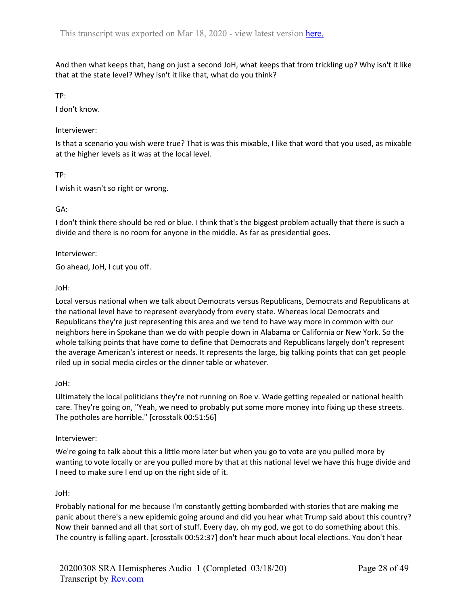And then what keeps that, hang on just a second JoH, what keeps that from trickling up? Why isn't it like that at the state level? Whey isn't it like that, what do you think?

TP:

I don't know.

#### Interviewer:

Is that a scenario you wish were true? That is was this mixable, I like that word that you used, as mixable at the higher levels as it was at the local level.

TP:

I wish it wasn't so right or wrong.

GA:

I don't think there should be red or blue. I think that's the biggest problem actually that there is such a divide and there is no room for anyone in the middle. As far as presidential goes.

Interviewer:

Go ahead, JoH, I cut you off.

JoH:

Local versus national when we talk about Democrats versus Republicans, Democrats and Republicans at the national level have to represent everybody from every state. Whereas local Democrats and Republicans they're just representing this area and we tend to have way more in common with our neighbors here in Spokane than we do with people down in Alabama or California or New York. So the whole talking points that have come to define that Democrats and Republicans largely don't represent the average American's interest or needs. It represents the large, big talking points that can get people riled up in social media circles or the dinner table or whatever.

JoH:

Ultimately the local politicians they're not running on Roe v. Wade getting repealed or national health care. They're going on, "Yeah, we need to probably put some more money into fixing up these streets. The potholes are horrible." [crosstalk 00:51:56]

Interviewer:

We're going to talk about this a little more later but when you go to vote are you pulled more by wanting to vote locally or are you pulled more by that at this national level we have this huge divide and I need to make sure I end up on the right side of it.

## JoH:

Probably national for me because I'm constantly getting bombarded with stories that are making me panic about there's a new epidemic going around and did you hear what Trump said about this country? Now their banned and all that sort of stuff. Every day, oh my god, we got to do something about this. The country is falling apart. [crosstalk 00:52:37] don't hear much about local elections. You don't hear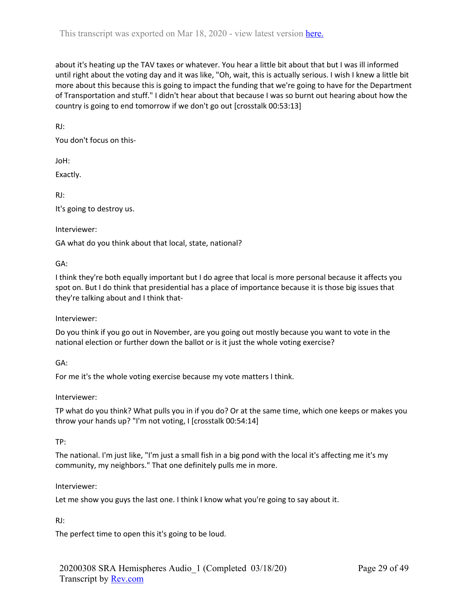about it's heating up the TAV taxes or whatever. You hear a little bit about that but I was ill informed until right about the voting day and it was like, "Oh, wait, this is actually serious. I wish I knew a little bit more about this because this is going to impact the funding that we're going to have for the Department of Transportation and stuff." I didn't hear about that because I was so burnt out hearing about how the country is going to end tomorrow if we don't go out [crosstalk 00:53:13]

RJ:

You don't focus on this-

JoH:

Exactly.

RJ: It's going to destroy us.

## Interviewer:

GA what do you think about that local, state, national?

## GA:

I think they're both equally important but I do agree that local is more personal because it affects you spot on. But I do think that presidential has a place of importance because it is those big issues that they're talking about and I think that-

## Interviewer:

Do you think if you go out in November, are you going out mostly because you want to vote in the national election or further down the ballot or is it just the whole voting exercise?

# GA:

For me it's the whole voting exercise because my vote matters I think.

Interviewer:

TP what do you think? What pulls you in if you do? Or at the same time, which one keeps or makes you throw your hands up? "I'm not voting, I [crosstalk 00:54:14]

# TP:

The national. I'm just like, "I'm just a small fish in a big pond with the local it's affecting me it's my community, my neighbors." That one definitely pulls me in more.

## Interviewer:

Let me show you guys the last one. I think I know what you're going to say about it.

# RJ:

The perfect time to open this it's going to be loud.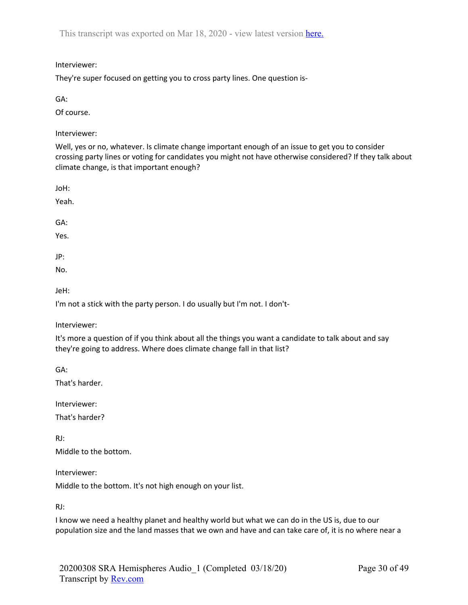# Interviewer:

They're super focused on getting you to cross party lines. One question is-

```
GA:
```
Of course.

Interviewer:

Well, yes or no, whatever. Is climate change important enough of an issue to get you to consider crossing party lines or voting for candidates you might not have otherwise considered? If they talk about climate change, is that important enough?

JoH:

Yeah.

GA:

Yes.

JP:

No.

JeH:

I'm not a stick with the party person. I do usually but I'm not. I don't-

Interviewer:

It's more a question of if you think about all the things you want a candidate to talk about and say they're going to address. Where does climate change fall in that list?

GA:

That's harder.

Interviewer:

That's harder?

RJ: Middle to the bottom.

Interviewer:

Middle to the bottom. It's not high enough on your list.

RJ:

I know we need a healthy planet and healthy world but what we can do in the US is, due to our population size and the land masses that we own and have and can take care of, it is no where near a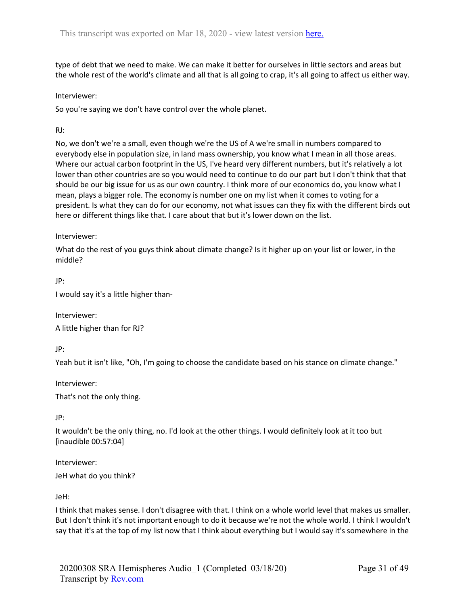type of debt that we need to make. We can make it better for ourselves in little sectors and areas but the whole rest of the world's climate and all that is all going to crap, it's all going to affect us either way.

# Interviewer:

So you're saying we don't have control over the whole planet.

# RJ:

No, we don't we're a small, even though we're the US of A we're small in numbers compared to everybody else in population size, in land mass ownership, you know what I mean in all those areas. Where our actual carbon footprint in the US, I've heard very different numbers, but it's relatively a lot lower than other countries are so you would need to continue to do our part but I don't think that that should be our big issue for us as our own country. I think more of our economics do, you know what I mean, plays a bigger role. The economy is number one on my list when it comes to voting for a president. Is what they can do for our economy, not what issues can they fix with the different birds out here or different things like that. I care about that but it's lower down on the list.

## Interviewer:

What do the rest of you guys think about climate change? Is it higher up on your list or lower, in the middle?

JP:

I would say it's a little higher than-

Interviewer: A little higher than for RJ?

JP:

Yeah but it isn't like, "Oh, I'm going to choose the candidate based on his stance on climate change."

Interviewer:

That's not the only thing.

JP:

It wouldn't be the only thing, no. I'd look at the other things. I would definitely look at it too but [inaudible 00:57:04]

Interviewer:

JeH what do you think?

JeH:

I think that makes sense. I don't disagree with that. I think on a whole world level that makes us smaller. But I don't think it's not important enough to do it because we're not the whole world. I think I wouldn't say that it's at the top of my list now that I think about everything but I would say it's somewhere in the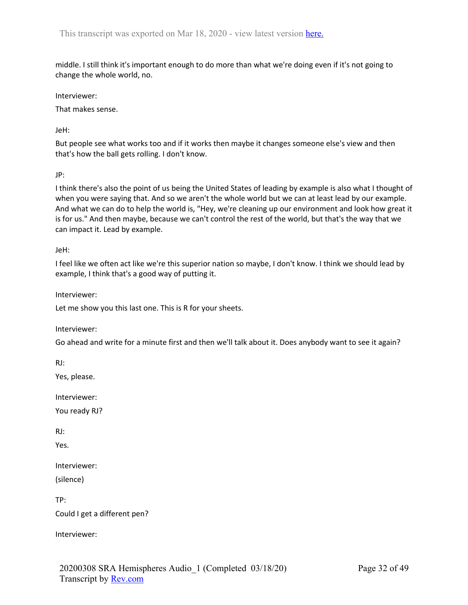middle. I still think it's important enough to do more than what we're doing even if it's not going to change the whole world, no.

Interviewer:

That makes sense.

JeH:

But people see what works too and if it works then maybe it changes someone else's view and then that's how the ball gets rolling. I don't know.

JP:

I think there's also the point of us being the United States of leading by example is also what I thought of when you were saying that. And so we aren't the whole world but we can at least lead by our example. And what we can do to help the world is, "Hey, we're cleaning up our environment and look how great it is for us." And then maybe, because we can't control the rest of the world, but that's the way that we can impact it. Lead by example.

JeH:

I feel like we often act like we're this superior nation so maybe, I don't know. I think we should lead by example, I think that's a good way of putting it.

Interviewer:

Let me show you this last one. This is R for your sheets.

Interviewer:

Go ahead and write for a minute first and then we'll talk about it. Does anybody want to see it again?

RJ:

Yes, please.

Interviewer:

You ready RJ?

RJ:

Yes.

Interviewer:

(silence)

TP: Could I get a different pen?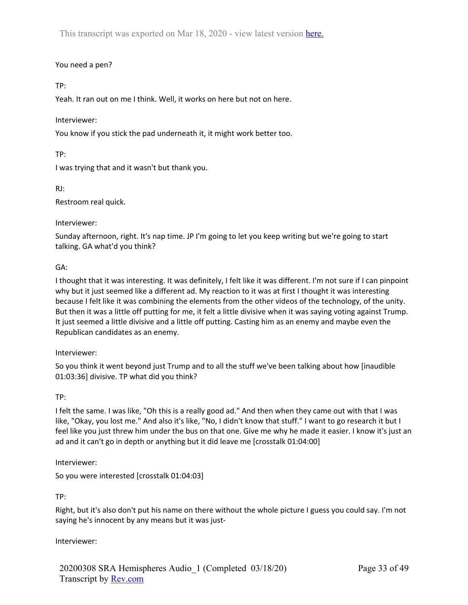# You need a pen?

# TP:

Yeah. It ran out on me I think. Well, it works on here but not on here.

# Interviewer:

You know if you stick the pad underneath it, it might work better too.

TP:

I was trying that and it wasn't but thank you.

RJ:

Restroom real quick.

# Interviewer:

Sunday afternoon, right. It's nap time. JP I'm going to let you keep writing but we're going to start talking. GA what'd you think?

# GA:

I thought that it was interesting. It was definitely, I felt like it was different. I'm not sure if I can pinpoint why but it just seemed like a different ad. My reaction to it was at first I thought it was interesting because I felt like it was combining the elements from the other videos of the technology, of the unity. But then it was a little off putting for me, it felt a little divisive when it was saying voting against Trump. It just seemed a little divisive and a little off putting. Casting him as an enemy and maybe even the Republican candidates as an enemy.

# Interviewer:

So you think it went beyond just Trump and to all the stuff we've been talking about how [inaudible 01:03:36] divisive. TP what did you think?

# TP:

I felt the same. I was like, "Oh this is a really good ad." And then when they came out with that I was like, "Okay, you lost me." And also it's like, "No, I didn't know that stuff." I want to go research it but I feel like you just threw him under the bus on that one. Give me why he made it easier. I know it's just an ad and it can't go in depth or anything but it did leave me [crosstalk 01:04:00]

# Interviewer:

So you were interested [crosstalk 01:04:03]

TP:

Right, but it's also don't put his name on there without the whole picture I guess you could say. I'm not saying he's innocent by any means but it was just-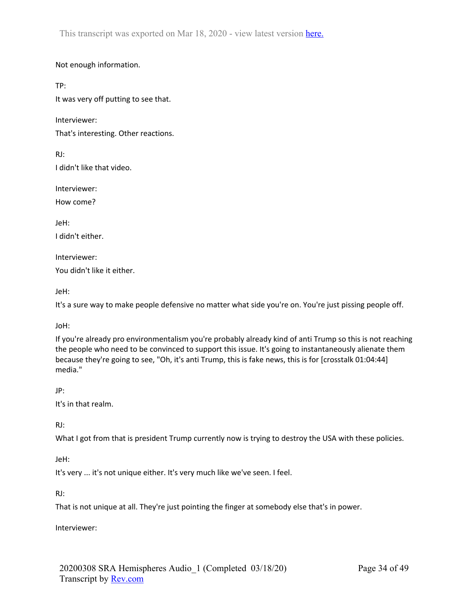Not enough information.

TP:

It was very off putting to see that.

Interviewer:

That's interesting. Other reactions.

RJ: I didn't like that video.

Interviewer:

How come?

JeH:

I didn't either.

Interviewer:

You didn't like it either.

JeH:

It's a sure way to make people defensive no matter what side you're on. You're just pissing people off.

JoH:

If you're already pro environmentalism you're probably already kind of anti Trump so this is not reaching the people who need to be convinced to support this issue. It's going to instantaneously alienate them because they're going to see, "Oh, it's anti Trump, this is fake news, this is for [crosstalk 01:04:44] media."

# JP:

It's in that realm.

RJ:

What I got from that is president Trump currently now is trying to destroy the USA with these policies.

JeH:

It's very ... it's not unique either. It's very much like we've seen. I feel.

RJ:

That is not unique at all. They're just pointing the finger at somebody else that's in power.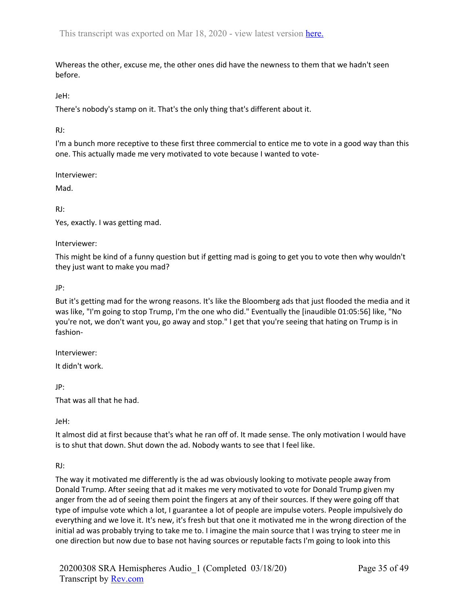Whereas the other, excuse me, the other ones did have the newness to them that we hadn't seen before.

JeH:

There's nobody's stamp on it. That's the only thing that's different about it.

RJ:

I'm a bunch more receptive to these first three commercial to entice me to vote in a good way than this one. This actually made me very motivated to vote because I wanted to vote-

Interviewer:

Mad.

RJ:

Yes, exactly. I was getting mad.

Interviewer:

This might be kind of a funny question but if getting mad is going to get you to vote then why wouldn't they just want to make you mad?

JP:

But it's getting mad for the wrong reasons. It's like the Bloomberg ads that just flooded the media and it was like, "I'm going to stop Trump, I'm the one who did." Eventually the [inaudible 01:05:56] like, "No you're not, we don't want you, go away and stop." I get that you're seeing that hating on Trump is in fashion-

Interviewer:

It didn't work.

JP:

That was all that he had.

JeH:

It almost did at first because that's what he ran off of. It made sense. The only motivation I would have is to shut that down. Shut down the ad. Nobody wants to see that I feel like.

RJ:

The way it motivated me differently is the ad was obviously looking to motivate people away from Donald Trump. After seeing that ad it makes me very motivated to vote for Donald Trump given my anger from the ad of seeing them point the fingers at any of their sources. If they were going off that type of impulse vote which a lot, I guarantee a lot of people are impulse voters. People impulsively do everything and we love it. It's new, it's fresh but that one it motivated me in the wrong direction of the initial ad was probably trying to take me to. I imagine the main source that I was trying to steer me in one direction but now due to base not having sources or reputable facts I'm going to look into this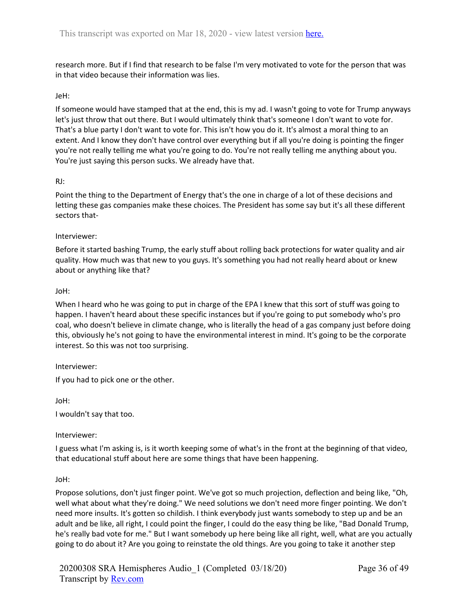research more. But if I find that research to be false I'm very motivated to vote for the person that was in that video because their information was lies.

## JeH:

If someone would have stamped that at the end, this is my ad. I wasn't going to vote for Trump anyways let's just throw that out there. But I would ultimately think that's someone I don't want to vote for. That's a blue party I don't want to vote for. This isn't how you do it. It's almost a moral thing to an extent. And I know they don't have control over everything but if all you're doing is pointing the finger you're not really telling me what you're going to do. You're not really telling me anything about you. You're just saying this person sucks. We already have that.

#### RJ:

Point the thing to the Department of Energy that's the one in charge of a lot of these decisions and letting these gas companies make these choices. The President has some say but it's all these different sectors that-

#### Interviewer:

Before it started bashing Trump, the early stuff about rolling back protections for water quality and air quality. How much was that new to you guys. It's something you had not really heard about or knew about or anything like that?

#### JoH:

When I heard who he was going to put in charge of the EPA I knew that this sort of stuff was going to happen. I haven't heard about these specific instances but if you're going to put somebody who's pro coal, who doesn't believe in climate change, who is literally the head of a gas company just before doing this, obviously he's not going to have the environmental interest in mind. It's going to be the corporate interest. So this was not too surprising.

#### Interviewer:

If you had to pick one or the other.

JoH:

I wouldn't say that too.

## Interviewer:

I guess what I'm asking is, is it worth keeping some of what's in the front at the beginning of that video, that educational stuff about here are some things that have been happening.

#### JoH:

Propose solutions, don't just finger point. We've got so much projection, deflection and being like, "Oh, well what about what they're doing." We need solutions we don't need more finger pointing. We don't need more insults. It's gotten so childish. I think everybody just wants somebody to step up and be an adult and be like, all right, I could point the finger, I could do the easy thing be like, "Bad Donald Trump, he's really bad vote for me." But I want somebody up here being like all right, well, what are you actually going to do about it? Are you going to reinstate the old things. Are you going to take it another step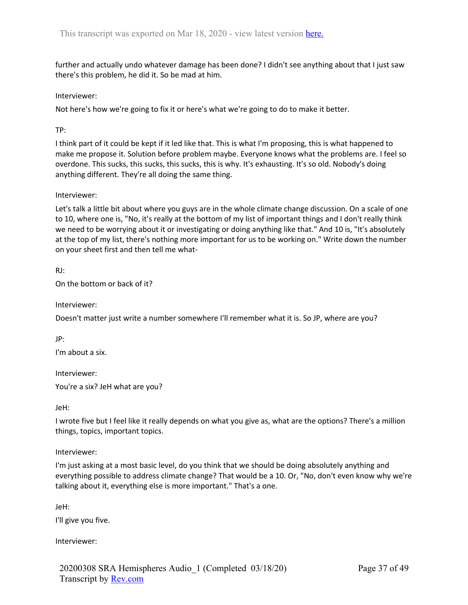further and actually undo whatever damage has been done? I didn't see anything about that I just saw there's this problem, he did it. So be mad at him.

Interviewer:

Not here's how we're going to fix it or here's what we're going to do to make it better.

TP:

I think part of it could be kept if it led like that. This is what I'm proposing, this is what happened to make me propose it. Solution before problem maybe. Everyone knows what the problems are. I feel so overdone. This sucks, this sucks, this sucks, this is why. It's exhausting. It's so old. Nobody's doing anything different. They're all doing the same thing.

## Interviewer:

Let's talk a little bit about where you guys are in the whole climate change discussion. On a scale of one to 10, where one is, "No, it's really at the bottom of my list of important things and I don't really think we need to be worrying about it or investigating or doing anything like that." And 10 is, "It's absolutely at the top of my list, there's nothing more important for us to be working on." Write down the number on your sheet first and then tell me what-

RJ:

On the bottom or back of it?

Interviewer:

Doesn't matter just write a number somewhere I'll remember what it is. So JP, where are you?

JP:

I'm about a six.

Interviewer:

You're a six? JeH what are you?

JeH:

I wrote five but I feel like it really depends on what you give as, what are the options? There's a million things, topics, important topics.

Interviewer:

I'm just asking at a most basic level, do you think that we should be doing absolutely anything and everything possible to address climate change? That would be a 10. Or, "No, don't even know why we're talking about it, everything else is more important." That's a one.

JeH:

I'll give you five.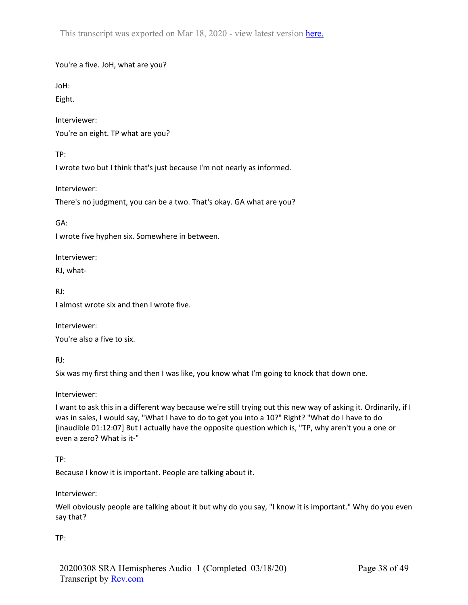You're a five. JoH, what are you?

JoH:

Eight.

Interviewer: You're an eight. TP what are you?

TP:

I wrote two but I think that's just because I'm not nearly as informed.

Interviewer:

There's no judgment, you can be a two. That's okay. GA what are you?

GA:

I wrote five hyphen six. Somewhere in between.

Interviewer:

RJ, what-

RJ:

I almost wrote six and then I wrote five.

Interviewer: You're also a five to six.

RJ:

Six was my first thing and then I was like, you know what I'm going to knock that down one.

Interviewer:

I want to ask this in a different way because we're still trying out this new way of asking it. Ordinarily, if I was in sales, I would say, "What I have to do to get you into a 10?" Right? "What do I have to do [inaudible 01:12:07] But I actually have the opposite question which is, "TP, why aren't you a one or even a zero? What is it-"

TP:

Because I know it is important. People are talking about it.

Interviewer:

Well obviously people are talking about it but why do you say, "I know it is important." Why do you even say that?

TP: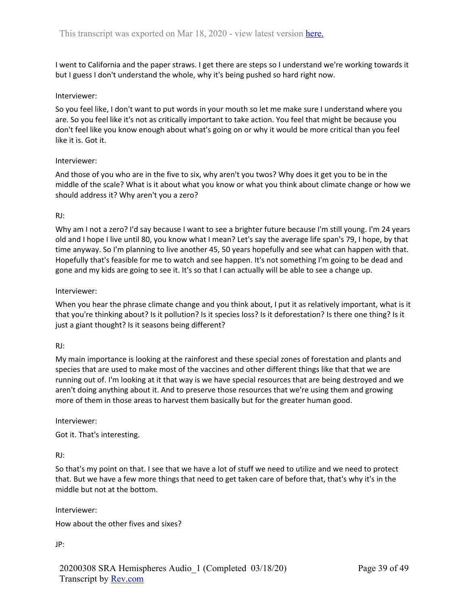I went to California and the paper straws. I get there are steps so I understand we're working towards it but I guess I don't understand the whole, why it's being pushed so hard right now.

## Interviewer:

So you feel like, I don't want to put words in your mouth so let me make sure I understand where you are. So you feel like it's not as critically important to take action. You feel that might be because you don't feel like you know enough about what's going on or why it would be more critical than you feel like it is. Got it.

#### Interviewer:

And those of you who are in the five to six, why aren't you twos? Why does it get you to be in the middle of the scale? What is it about what you know or what you think about climate change or how we should address it? Why aren't you a zero?

#### RJ:

Why am I not a zero? I'd say because I want to see a brighter future because I'm still young. I'm 24 years old and I hope I live until 80, you know what I mean? Let's say the average life span's 79, I hope, by that time anyway. So I'm planning to live another 45, 50 years hopefully and see what can happen with that. Hopefully that's feasible for me to watch and see happen. It's not something I'm going to be dead and gone and my kids are going to see it. It's so that I can actually will be able to see a change up.

#### Interviewer:

When you hear the phrase climate change and you think about, I put it as relatively important, what is it that you're thinking about? Is it pollution? Is it species loss? Is it deforestation? Is there one thing? Is it just a giant thought? Is it seasons being different?

## RJ:

My main importance is looking at the rainforest and these special zones of forestation and plants and species that are used to make most of the vaccines and other different things like that that we are running out of. I'm looking at it that way is we have special resources that are being destroyed and we aren't doing anything about it. And to preserve those resources that we're using them and growing more of them in those areas to harvest them basically but for the greater human good.

#### Interviewer:

Got it. That's interesting.

## RJ:

So that's my point on that. I see that we have a lot of stuff we need to utilize and we need to protect that. But we have a few more things that need to get taken care of before that, that's why it's in the middle but not at the bottom.

Interviewer:

How about the other fives and sixes?

JP: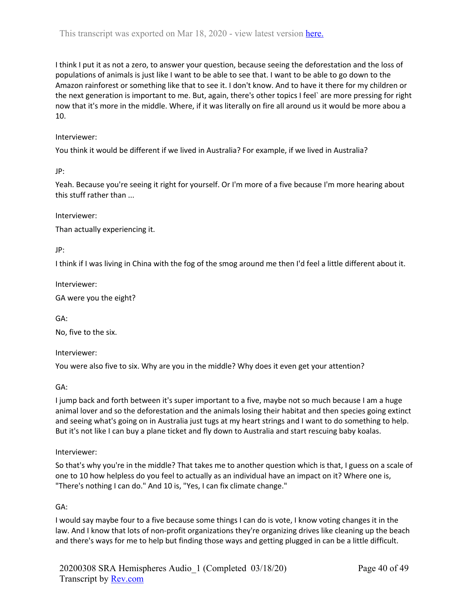I think I put it as not a zero, to answer your question, because seeing the deforestation and the loss of populations of animals is just like I want to be able to see that. I want to be able to go down to the Amazon rainforest or something like that to see it. I don't know. And to have it there for my children or the next generation is important to me. But, again, there's other topics I feel` are more pressing for right now that it's more in the middle. Where, if it was literally on fire all around us it would be more abou a 10.

# Interviewer:

You think it would be different if we lived in Australia? For example, if we lived in Australia?

JP:

Yeah. Because you're seeing it right for yourself. Or I'm more of a five because I'm more hearing about this stuff rather than ...

Interviewer:

Than actually experiencing it.

JP:

I think if I was living in China with the fog of the smog around me then I'd feel a little different about it.

Interviewer:

GA were you the eight?

GA:

No, five to the six.

Interviewer:

You were also five to six. Why are you in the middle? Why does it even get your attention?

GA:

I jump back and forth between it's super important to a five, maybe not so much because I am a huge animal lover and so the deforestation and the animals losing their habitat and then species going extinct and seeing what's going on in Australia just tugs at my heart strings and I want to do something to help. But it's not like I can buy a plane ticket and fly down to Australia and start rescuing baby koalas.

## Interviewer:

So that's why you're in the middle? That takes me to another question which is that, I guess on a scale of one to 10 how helpless do you feel to actually as an individual have an impact on it? Where one is, "There's nothing I can do." And 10 is, "Yes, I can fix climate change."

GA:

I would say maybe four to a five because some things I can do is vote, I know voting changes it in the law. And I know that lots of non-profit organizations they're organizing drives like cleaning up the beach and there's ways for me to help but finding those ways and getting plugged in can be a little difficult.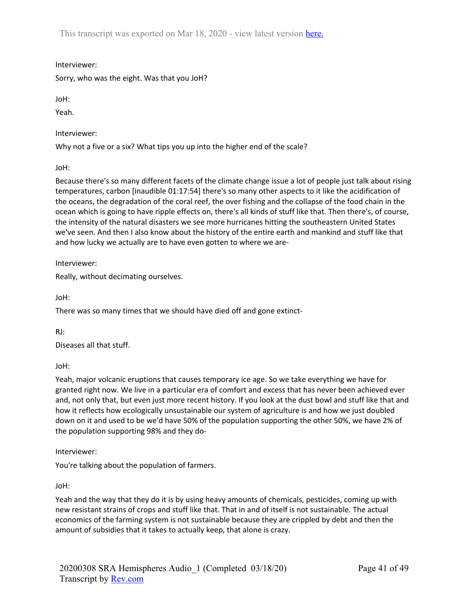Interviewer:

Sorry, who was the eight. Was that you JoH?

JoH:

Yeah.

Interviewer:

Why not a five or a six? What tips you up into the higher end of the scale?

JoH:

Because there's so many different facets of the climate change issue a lot of people just talk about rising temperatures, carbon [inaudible 01:17:54] there's so many other aspects to it like the acidification of the oceans, the degradation of the coral reef, the over fishing and the collapse of the food chain in the ocean which is going to have ripple effects on, there's all kinds of stuff like that. Then there's, of course, the intensity of the natural disasters we see more hurricanes hitting the southeastern United States we've seen. And then I also know about the history of the entire earth and mankind and stuff like that and how lucky we actually are to have even gotten to where we are-

Interviewer:

Really, without decimating ourselves.

JoH:

There was so many times that we should have died off and gone extinct-

RJ:

Diseases all that stuff.

JoH:

Yeah, major volcanic eruptions that causes temporary ice age. So we take everything we have for granted right now. We live in a particular era of comfort and excess that has never been achieved ever and, not only that, but even just more recent history. If you look at the dust bowl and stuff like that and how it reflects how ecologically unsustainable our system of agriculture is and how we just doubled down on it and used to be we'd have 50% of the population supporting the other 50%, we have 2% of the population supporting 98% and they do-

Interviewer:

You're talking about the population of farmers.

JoH:

Yeah and the way that they do it is by using heavy amounts of chemicals, pesticides, coming up with new resistant strains of crops and stuff like that. That in and of itself is not sustainable. The actual economics of the farming system is not sustainable because they are crippled by debt and then the amount of subsidies that it takes to actually keep, that alone is crazy.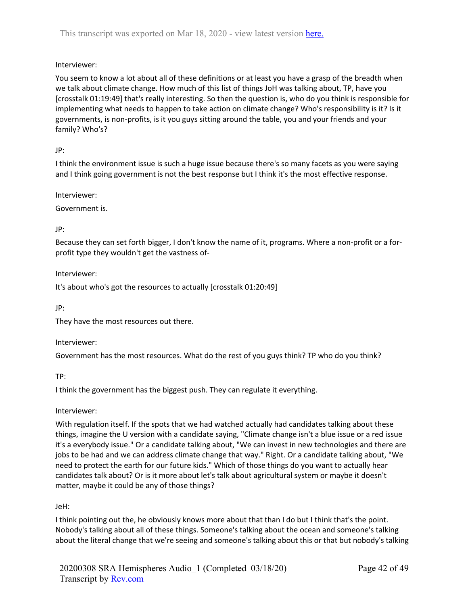# Interviewer:

You seem to know a lot about all of these definitions or at least you have a grasp of the breadth when we talk about climate change. How much of this list of things JoH was talking about, TP, have you [crosstalk 01:19:49] that's really interesting. So then the question is, who do you think is responsible for implementing what needs to happen to take action on climate change? Who's responsibility is it? Is it governments, is non-profits, is it you guys sitting around the table, you and your friends and your family? Who's?

# JP:

I think the environment issue is such a huge issue because there's so many facets as you were saying and I think going government is not the best response but I think it's the most effective response.

Interviewer:

Government is.

# JP:

Because they can set forth bigger, I don't know the name of it, programs. Where a non-profit or a forprofit type they wouldn't get the vastness of-

## Interviewer:

It's about who's got the resources to actually [crosstalk 01:20:49]

JP:

They have the most resources out there.

## Interviewer:

Government has the most resources. What do the rest of you guys think? TP who do you think?

## TP:

I think the government has the biggest push. They can regulate it everything.

## Interviewer:

With regulation itself. If the spots that we had watched actually had candidates talking about these things, imagine the U version with a candidate saying, "Climate change isn't a blue issue or a red issue it's a everybody issue." Or a candidate talking about, "We can invest in new technologies and there are jobs to be had and we can address climate change that way." Right. Or a candidate talking about, "We need to protect the earth for our future kids." Which of those things do you want to actually hear candidates talk about? Or is it more about let's talk about agricultural system or maybe it doesn't matter, maybe it could be any of those things?

# JeH:

I think pointing out the, he obviously knows more about that than I do but I think that's the point. Nobody's talking about all of these things. Someone's talking about the ocean and someone's talking about the literal change that we're seeing and someone's talking about this or that but nobody's talking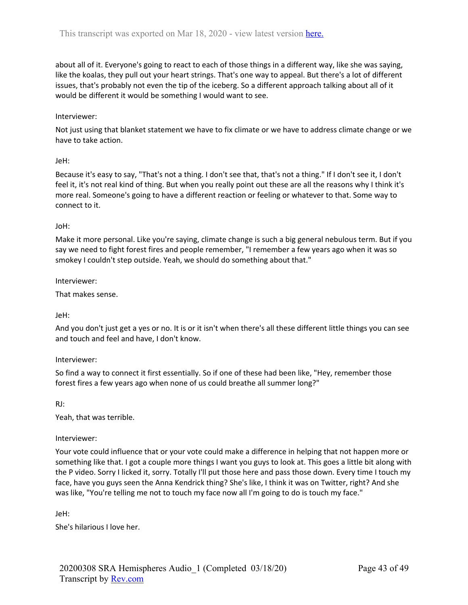about all of it. Everyone's going to react to each of those things in a different way, like she was saying, like the koalas, they pull out your heart strings. That's one way to appeal. But there's a lot of different issues, that's probably not even the tip of the iceberg. So a different approach talking about all of it would be different it would be something I would want to see.

#### Interviewer:

Not just using that blanket statement we have to fix climate or we have to address climate change or we have to take action.

#### JeH:

Because it's easy to say, "That's not a thing. I don't see that, that's not a thing." If I don't see it, I don't feel it, it's not real kind of thing. But when you really point out these are all the reasons why I think it's more real. Someone's going to have a different reaction or feeling or whatever to that. Some way to connect to it.

#### JoH:

Make it more personal. Like you're saying, climate change is such a big general nebulous term. But if you say we need to fight forest fires and people remember, "I remember a few years ago when it was so smokey I couldn't step outside. Yeah, we should do something about that."

#### Interviewer:

That makes sense.

## JeH:

And you don't just get a yes or no. It is or it isn't when there's all these different little things you can see and touch and feel and have, I don't know.

## Interviewer:

So find a way to connect it first essentially. So if one of these had been like, "Hey, remember those forest fires a few years ago when none of us could breathe all summer long?"

RJ:

Yeah, that was terrible.

## Interviewer:

Your vote could influence that or your vote could make a difference in helping that not happen more or something like that. I got a couple more things I want you guys to look at. This goes a little bit along with the P video. Sorry I licked it, sorry. Totally I'll put those here and pass those down. Every time I touch my face, have you guys seen the Anna Kendrick thing? She's like, I think it was on Twitter, right? And she was like, "You're telling me not to touch my face now all I'm going to do is touch my face."

JeH:

She's hilarious I love her.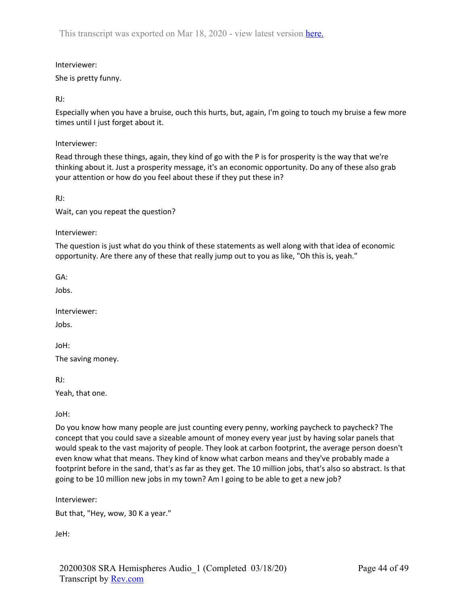Interviewer:

She is pretty funny.

RJ:

Especially when you have a bruise, ouch this hurts, but, again, I'm going to touch my bruise a few more times until I just forget about it.

Interviewer:

Read through these things, again, they kind of go with the P is for prosperity is the way that we're thinking about it. Just a prosperity message, it's an economic opportunity. Do any of these also grab your attention or how do you feel about these if they put these in?

RJ:

Wait, can you repeat the question?

Interviewer:

The question is just what do you think of these statements as well along with that idea of economic opportunity. Are there any of these that really jump out to you as like, "Oh this is, yeah."

GA:

Jobs.

Interviewer:

Jobs.

JoH:

The saving money.

RJ:

Yeah, that one.

JoH:

Do you know how many people are just counting every penny, working paycheck to paycheck? The concept that you could save a sizeable amount of money every year just by having solar panels that would speak to the vast majority of people. They look at carbon footprint, the average person doesn't even know what that means. They kind of know what carbon means and they've probably made a footprint before in the sand, that's as far as they get. The 10 million jobs, that's also so abstract. Is that going to be 10 million new jobs in my town? Am I going to be able to get a new job?

Interviewer:

But that, "Hey, wow, 30 K a year."

JeH: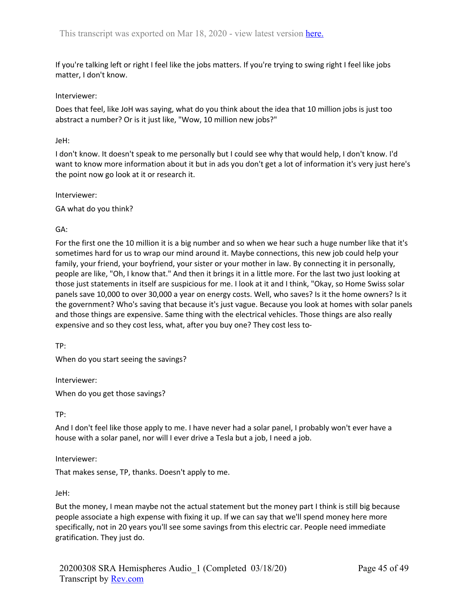If you're talking left or right I feel like the jobs matters. If you're trying to swing right I feel like jobs matter, I don't know.

#### Interviewer:

Does that feel, like JoH was saying, what do you think about the idea that 10 million jobs is just too abstract a number? Or is it just like, "Wow, 10 million new jobs?"

#### JeH:

I don't know. It doesn't speak to me personally but I could see why that would help, I don't know. I'd want to know more information about it but in ads you don't get a lot of information it's very just here's the point now go look at it or research it.

Interviewer:

GA what do you think?

## GA:

For the first one the 10 million it is a big number and so when we hear such a huge number like that it's sometimes hard for us to wrap our mind around it. Maybe connections, this new job could help your family, your friend, your boyfriend, your sister or your mother in law. By connecting it in personally, people are like, "Oh, I know that." And then it brings it in a little more. For the last two just looking at those just statements in itself are suspicious for me. I look at it and I think, "Okay, so Home Swiss solar panels save 10,000 to over 30,000 a year on energy costs. Well, who saves? Is it the home owners? Is it the government? Who's saving that because it's just vague. Because you look at homes with solar panels and those things are expensive. Same thing with the electrical vehicles. Those things are also really expensive and so they cost less, what, after you buy one? They cost less to-

TP:

When do you start seeing the savings?

Interviewer:

When do you get those savings?

TP:

And I don't feel like those apply to me. I have never had a solar panel, I probably won't ever have a house with a solar panel, nor will I ever drive a Tesla but a job, I need a job.

Interviewer:

That makes sense, TP, thanks. Doesn't apply to me.

JeH:

But the money, I mean maybe not the actual statement but the money part I think is still big because people associate a high expense with fixing it up. If we can say that we'll spend money here more specifically, not in 20 years you'll see some savings from this electric car. People need immediate gratification. They just do.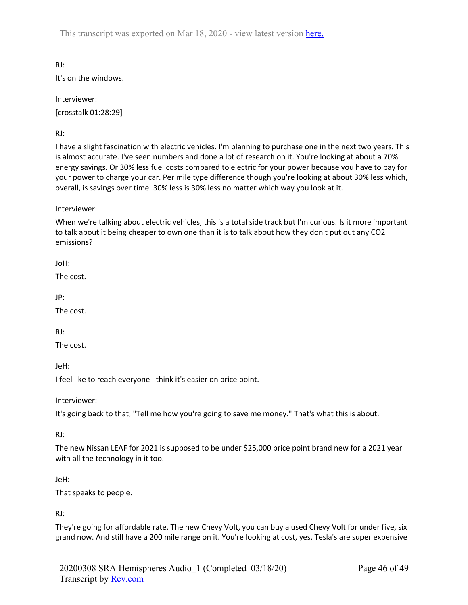RJ: It's on the windows.

Interviewer: [crosstalk 01:28:29]

RJ:

I have a slight fascination with electric vehicles. I'm planning to purchase one in the next two years. This is almost accurate. I've seen numbers and done a lot of research on it. You're looking at about a 70% energy savings. Or 30% less fuel costs compared to electric for your power because you have to pay for your power to charge your car. Per mile type difference though you're looking at about 30% less which, overall, is savings over time. 30% less is 30% less no matter which way you look at it.

Interviewer:

When we're talking about electric vehicles, this is a total side track but I'm curious. Is it more important to talk about it being cheaper to own one than it is to talk about how they don't put out any CO2 emissions?

JoH:

The cost.

JP:

The cost.

RJ:

The cost.

JeH:

I feel like to reach everyone I think it's easier on price point.

Interviewer:

It's going back to that, "Tell me how you're going to save me money." That's what this is about.

RJ:

The new Nissan LEAF for 2021 is supposed to be under \$25,000 price point brand new for a 2021 year with all the technology in it too.

## JeH:

That speaks to people.

RJ:

They're going for affordable rate. The new Chevy Volt, you can buy a used Chevy Volt for under five, six grand now. And still have a 200 mile range on it. You're looking at cost, yes, Tesla's are super expensive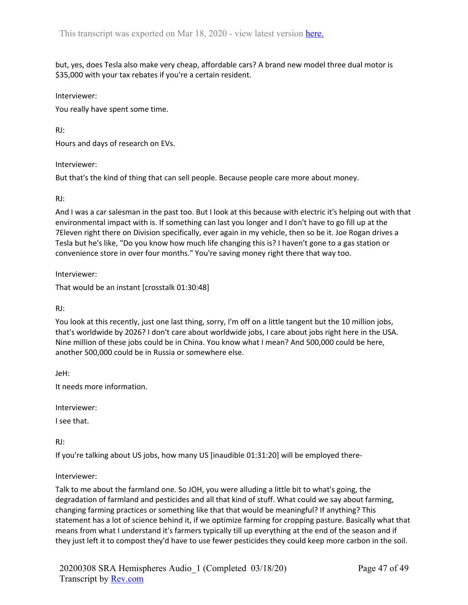but, yes, does Tesla also make very cheap, affordable cars? A brand new model three dual motor is \$35,000 with your tax rebates if you're a certain resident.

Interviewer:

You really have spent some time.

RJ:

Hours and days of research on EVs.

Interviewer:

But that's the kind of thing that can sell people. Because people care more about money.

## RJ:

And I was a car salesman in the past too. But I look at this because with electric it's helping out with that environmental impact with is. If something can last you longer and I don't have to go fill up at the 7Eleven right there on Division specifically, ever again in my vehicle, then so be it. Joe Rogan drives a Tesla but he's like, "Do you know how much life changing this is? I haven't gone to a gas station or convenience store in over four months." You're saving money right there that way too.

Interviewer:

That would be an instant [crosstalk 01:30:48]

RJ:

You look at this recently, just one last thing, sorry, I'm off on a little tangent but the 10 million jobs, that's worldwide by 2026? I don't care about worldwide jobs, I care about jobs right here in the USA. Nine million of these jobs could be in China. You know what I mean? And 500,000 could be here, another 500,000 could be in Russia or somewhere else.

JeH:

It needs more information.

Interviewer:

I see that.

RJ:

If you're talking about US jobs, how many US [inaudible 01:31:20] will be employed there-

## Interviewer:

Talk to me about the farmland one. So JOH, you were alluding a little bit to what's going, the degradation of farmland and pesticides and all that kind of stuff. What could we say about farming, changing farming practices or something like that that would be meaningful? If anything? This statement has a lot of science behind it, if we optimize farming for cropping pasture. Basically what that means from what I understand it's farmers typically till up everything at the end of the season and if they just left it to compost they'd have to use fewer pesticides they could keep more carbon in the soil.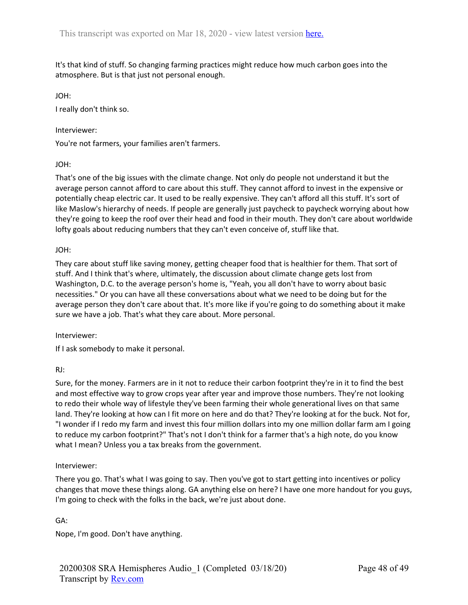It's that kind of stuff. So changing farming practices might reduce how much carbon goes into the atmosphere. But is that just not personal enough.

JOH:

I really don't think so.

## Interviewer:

You're not farmers, your families aren't farmers.

## JOH:

That's one of the big issues with the climate change. Not only do people not understand it but the average person cannot afford to care about this stuff. They cannot afford to invest in the expensive or potentially cheap electric car. It used to be really expensive. They can't afford all this stuff. It's sort of like Maslow's hierarchy of needs. If people are generally just paycheck to paycheck worrying about how they're going to keep the roof over their head and food in their mouth. They don't care about worldwide lofty goals about reducing numbers that they can't even conceive of, stuff like that.

## JOH:

They care about stuff like saving money, getting cheaper food that is healthier for them. That sort of stuff. And I think that's where, ultimately, the discussion about climate change gets lost from Washington, D.C. to the average person's home is, "Yeah, you all don't have to worry about basic necessities." Or you can have all these conversations about what we need to be doing but for the average person they don't care about that. It's more like if you're going to do something about it make sure we have a job. That's what they care about. More personal.

## Interviewer:

If I ask somebody to make it personal.

# RJ:

Sure, for the money. Farmers are in it not to reduce their carbon footprint they're in it to find the best and most effective way to grow crops year after year and improve those numbers. They're not looking to redo their whole way of lifestyle they've been farming their whole generational lives on that same land. They're looking at how can I fit more on here and do that? They're looking at for the buck. Not for, "I wonder if I redo my farm and invest this four million dollars into my one million dollar farm am I going to reduce my carbon footprint?" That's not I don't think for a farmer that's a high note, do you know what I mean? Unless you a tax breaks from the government.

# Interviewer:

There you go. That's what I was going to say. Then you've got to start getting into incentives or policy changes that move these things along. GA anything else on here? I have one more handout for you guys, I'm going to check with the folks in the back, we're just about done.

# GA:

Nope, I'm good. Don't have anything.